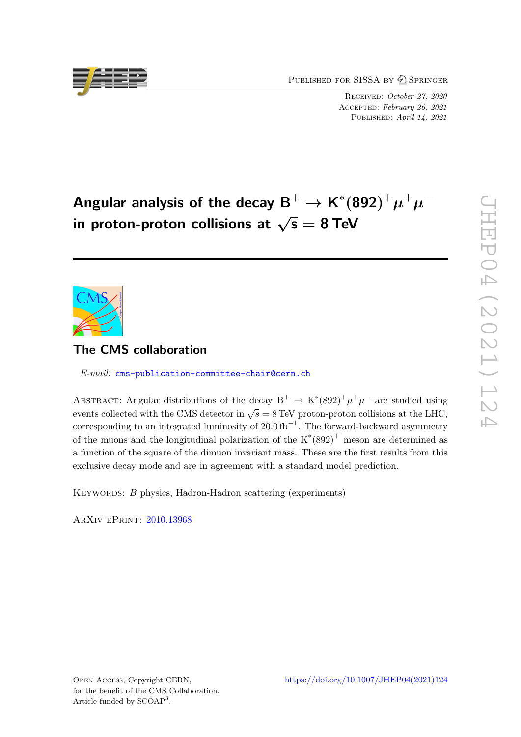PUBLISHED FOR SISSA BY 2 SPRINGER

Received: *October 27, 2020* Accepted: *February 26, 2021* Published: *April 14, 2021*

Angular analysis of the decay  $\mathsf{B}^+ \to \mathsf{K}^*(892)^+ \mu^+ \mu^$ **in proton-proton collisions at**  $\sqrt{s} = 8$  **TeV** 



# **The CMS collaboration**

*E-mail:* [cms-publication-committee-chair@cern.ch](mailto:cms-publication-committee-chair@cern.ch)

ABSTRACT: Angular distributions of the decay  $B^+ \to K^*(892)^+ \mu^+ \mu^-$  are studied using events collected with the CMS detector in  $\sqrt{s} = 8$  TeV proton-proton collisions at the LHC, corresponding to an integrated luminosity of 20.0 fb<sup>-1</sup>. The forward-backward asymmetry of the muons and the longitudinal polarization of the  $K^*(892)^+$  meson are determined as a function of the square of the dimuon invariant mass. These are the first results from this exclusive decay mode and are in agreement with a standard model prediction.

KEYWORDS: *B* physics, Hadron-Hadron scattering (experiments)

ArXiv ePrint: [2010.13968](https://arxiv.org/abs/2010.13968)

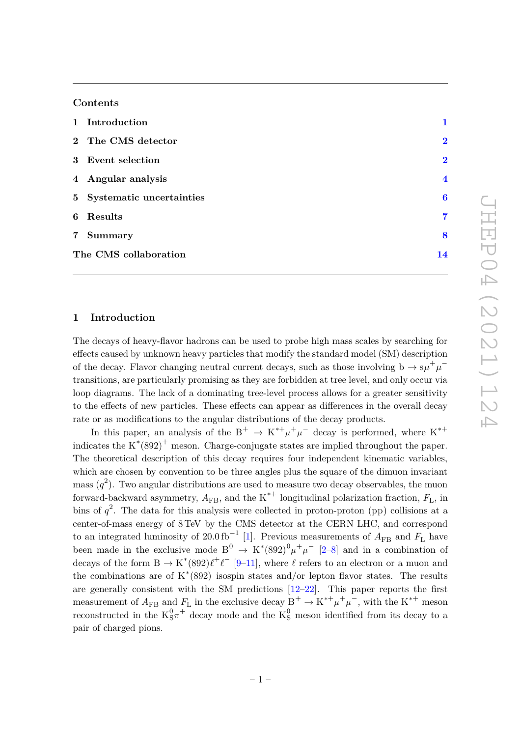### **Contents**

| 1 Introduction             |                         |
|----------------------------|-------------------------|
| 2 The CMS detector         | $\overline{\mathbf{2}}$ |
| 3 Event selection          | $\overline{\mathbf{2}}$ |
| 4 Angular analysis         | $\overline{\mathbf{4}}$ |
| 5 Systematic uncertainties | $\boldsymbol{6}$        |
| 6 Results                  | 7                       |
| 7 Summary                  | 8                       |
| The CMS collaboration      | 14                      |

### <span id="page-1-0"></span>**1 Introduction**

The decays of heavy-flavor hadrons can be used to probe high mass scales by searching for effects caused by unknown heavy particles that modify the standard model (SM) description of the decay. Flavor changing neutral current decays, such as those involving  $b \to s \mu^+ \mu^$ transitions, are particularly promising as they are forbidden at tree level, and only occur via loop diagrams. The lack of a dominating tree-level process allows for a greater sensitivity to the effects of new particles. These effects can appear as differences in the overall decay rate or as modifications to the angular distributions of the decay products.

In this paper, an analysis of the  $B^+ \to K^{*+} \mu^+ \mu^-$  decay is performed, where  $K^{*+}$ indicates the  $K^*(892)^+$  meson. Charge-conjugate states are implied throughout the paper. The theoretical description of this decay requires four independent kinematic variables, which are chosen by convention to be three angles plus the square of the dimuon invariant mass  $(q^2)$ . Two angular distributions are used to measure two decay observables, the muon forward-backward asymmetry,  $A_{\text{FB}}$ , and the  $K^{*+}$  longitudinal polarization fraction,  $F_L$ , in bins of  $q^2$ . The data for this analysis were collected in proton-proton (pp) collisions at a center-of-mass energy of 8 TeV by the CMS detector at the CERN LHC, and correspond to an integrated luminosity of 20.0 fb<sup>-1</sup> [\[1\]](#page-12-0). Previous measurements of  $A_{\text{FB}}$  and  $F_{\text{L}}$  have been made in the exclusive mode  $B^0 \to K^*(892)^0 \mu^+ \mu^-$  [\[2](#page-12-1)[–8\]](#page-12-2) and in a combination of decays of the form  $B \to K^*(892) \ell^+ \ell^-$  [\[9–](#page-12-3)[11\]](#page-12-4), where  $\ell$  refers to an electron or a muon and the combinations are of  $K^*(892)$  isospin states and/or lepton flavor states. The results are generally consistent with the SM predictions [\[12](#page-12-5)[–22\]](#page-13-0). This paper reports the first measurement of  $A_{\text{FB}}$  and  $F_L$  in the exclusive decay  $B^+ \to K^{*+} \mu^+ \mu^-$ , with the  $K^{*+}$  meson reconstructed in the  $K_S^0\pi^+$  decay mode and the  $K_S^0$  meson identified from its decay to a pair of charged pions.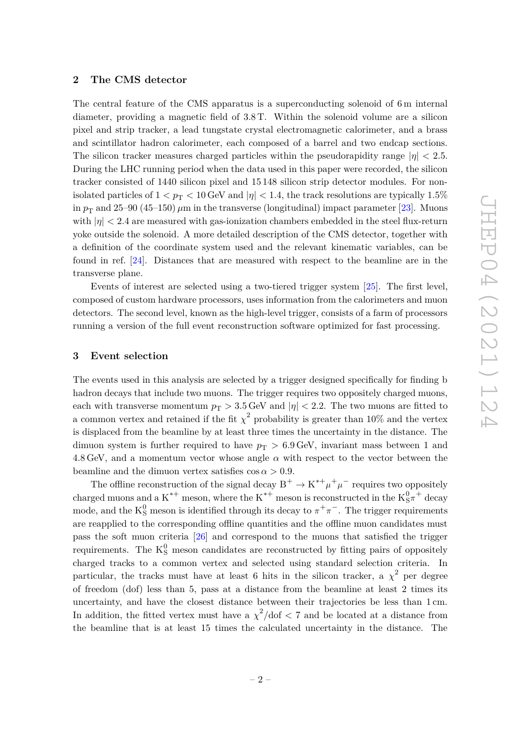#### <span id="page-2-0"></span>**2 The CMS detector**

The central feature of the CMS apparatus is a superconducting solenoid of 6 m internal diameter, providing a magnetic field of 3.8 T. Within the solenoid volume are a silicon pixel and strip tracker, a lead tungstate crystal electromagnetic calorimeter, and a brass and scintillator hadron calorimeter, each composed of a barrel and two endcap sections. The silicon tracker measures charged particles within the pseudorapidity range |*η*| *<* 2*.*5. During the LHC running period when the data used in this paper were recorded, the silicon tracker consisted of 1440 silicon pixel and 15 148 silicon strip detector modules. For nonisolated particles of  $1 < p_T < 10$  GeV and  $|\eta| < 1.4$ , the track resolutions are typically 1.5% in  $p_T$  and 25–90 (45–150)  $\mu$ m in the transverse (longitudinal) impact parameter [\[23\]](#page-13-1). Muons with  $|\eta|$  < 2.4 are measured with gas-ionization chambers embedded in the steel flux-return yoke outside the solenoid. A more detailed description of the CMS detector, together with a definition of the coordinate system used and the relevant kinematic variables, can be found in ref. [\[24\]](#page-13-2). Distances that are measured with respect to the beamline are in the transverse plane.

Events of interest are selected using a two-tiered trigger system [\[25\]](#page-13-3). The first level, composed of custom hardware processors, uses information from the calorimeters and muon detectors. The second level, known as the high-level trigger, consists of a farm of processors running a version of the full event reconstruction software optimized for fast processing.

### <span id="page-2-1"></span>**3 Event selection**

The events used in this analysis are selected by a trigger designed specifically for finding b hadron decays that include two muons. The trigger requires two oppositely charged muons, each with transverse momentum  $p_T > 3.5$  GeV and  $|\eta| < 2.2$ . The two muons are fitted to a common vertex and retained if the fit  $\chi^2$  probability is greater than 10% and the vertex is displaced from the beamline by at least three times the uncertainty in the distance. The dimuon system is further required to have  $p_T > 6.9$  GeV, invariant mass between 1 and 4.8 GeV, and a momentum vector whose angle  $\alpha$  with respect to the vector between the beamline and the dimuon vertex satisfies  $\cos \alpha > 0.9$ .

The offline reconstruction of the signal decay  $B^+ \to K^{*+} \mu^+ \mu^-$  requires two oppositely charged muons and a  $K^{*+}$  meson, where the  $K^{*+}$  meson is reconstructed in the  $K^0_S\pi^+$  decay mode, and the  $K^0_S$  meson is identified through its decay to  $\pi^+\pi^-$ . The trigger requirements are reapplied to the corresponding offline quantities and the offline muon candidates must pass the soft muon criteria [\[26\]](#page-13-4) and correspond to the muons that satisfied the trigger requirements. The  $K_S^0$  meson candidates are reconstructed by fitting pairs of oppositely charged tracks to a common vertex and selected using standard selection criteria. In particular, the tracks must have at least 6 hits in the silicon tracker, a  $\chi^2$  per degree of freedom (dof) less than 5, pass at a distance from the beamline at least 2 times its uncertainty, and have the closest distance between their trajectories be less than 1 cm. In addition, the fitted vertex must have a  $\chi^2/\text{dof} < 7$  and be located at a distance from the beamline that is at least 15 times the calculated uncertainty in the distance. The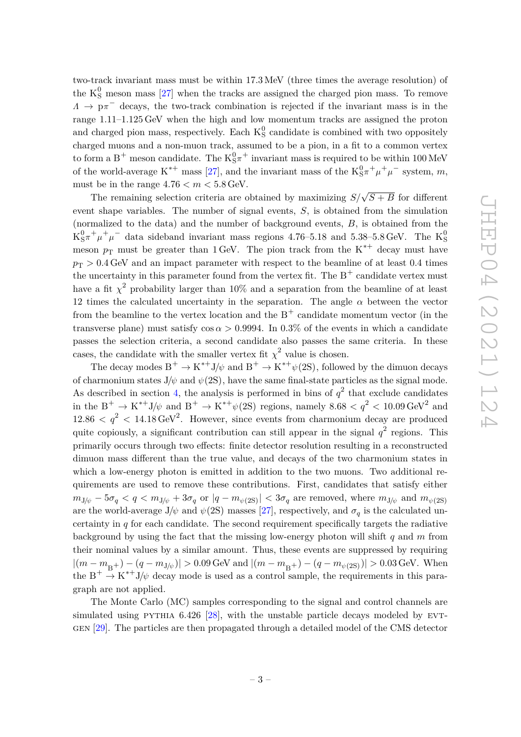two-track invariant mass must be within 17.3 MeV (three times the average resolution) of the  $K_S^0$  meson mass [\[27\]](#page-13-5) when the tracks are assigned the charged pion mass. To remove  $\Lambda \to p\pi^-$  decays, the two-track combination is rejected if the invariant mass is in the range 1.11–1.125 GeV when the high and low momentum tracks are assigned the proton and charged pion mass, respectively. Each  $K_S^0$  candidate is combined with two oppositely charged muons and a non-muon track, assumed to be a pion, in a fit to a common vertex to form a  $B^+$  meson candidate. The  $K^0_S \pi^+$  invariant mass is required to be within 100 MeV of the world-average  $K^{*+}$  mass [\[27\]](#page-13-5), and the invariant mass of the  $K_S^0\pi^+\mu^+\mu^-$  system, m, must be in the range  $4.76 < m < 5.8$  GeV.

The remaining selection criteria are obtained by maximizing  $S/\sqrt{S+B}$  for different event shape variables. The number of signal events, *S*, is obtained from the simulation (normalized to the data) and the number of background events, *B*, is obtained from the  $K_S^0\pi^+\mu^+\mu^-$  data sideband invariant mass regions 4.76–5.18 and 5.38–5.8 GeV. The  $K_S^0$ meson  $p<sub>T</sub>$  must be greater than 1 GeV. The pion track from the  $K^{*+}$  decay must have  $p_T > 0.4$  GeV and an impact parameter with respect to the beamline of at least 0.4 times the uncertainty in this parameter found from the vertex fit. The  $B^+$  candidate vertex must have a fit  $\chi^2$  probability larger than 10% and a separation from the beamline of at least 12 times the calculated uncertainty in the separation. The angle  $\alpha$  between the vector from the beamline to the vertex location and the  $B^+$  candidate momentum vector (in the transverse plane) must satisfy  $\cos \alpha > 0.9994$ . In 0.3% of the events in which a candidate passes the selection criteria, a second candidate also passes the same criteria. In these cases, the candidate with the smaller vertex fit  $\chi^2$  value is chosen.

The decay modes  $B^+ \to K^{*+} J/\psi$  and  $B^+ \to K^{*+} \psi(2S)$ , followed by the dimuon decays of charmonium states  $J/\psi$  and  $\psi(2S)$ , have the same final-state particles as the signal mode. As described in section [4,](#page-4-0) the analysis is performed in bins of  $q^2$  that exclude candidates in the  $B^+ \to K^{*+}J/\psi$  and  $B^+ \to K^{*+}\psi(2S)$  regions, namely  $8.68 < q^2 < 10.09 \text{ GeV}^2$  and  $12.86 < q^2 < 14.18 \,\text{GeV}^2$ . However, since events from charmonium decay are produced quite copiously, a significant contribution can still appear in the signal  $q^2$  regions. This primarily occurs through two effects: finite detector resolution resulting in a reconstructed dimuon mass different than the true value, and decays of the two charmonium states in which a low-energy photon is emitted in addition to the two muons. Two additional requirements are used to remove these contributions. First, candidates that satisfy either  $m_{J/\psi} - 5\sigma_q < q < m_{J/\psi} + 3\sigma_q$  or  $|q - m_{\psi(2S)}| < 3\sigma_q$  are removed, where  $m_{J/\psi}$  and  $m_{\psi(2S)}$ are the world-average  $J/\psi$  and  $\psi$ (2S) masses [\[27\]](#page-13-5), respectively, and  $\sigma_q$  is the calculated uncertainty in  $q$  for each candidate. The second requirement specifically targets the radiative background by using the fact that the missing low-energy photon will shift *q* and *m* from their nominal values by a similar amount. Thus, these events are suppressed by requiring  $|(m - m_{\text{B}} +) - (q - m_{\text{J/\psi}})| > 0.09 \,\text{GeV}$  and  $|(m - m_{\text{B}} +) - (q - m_{\psi(2S)})| > 0.03 \,\text{GeV}$ . When the  $B^+ \to K^{*+}J/\psi$  decay mode is used as a control sample, the requirements in this paragraph are not applied.

The Monte Carlo (MC) samples corresponding to the signal and control channels are simulated using PYTHIA  $6.426$  [\[28\]](#page-13-6), with the unstable particle decays modeled by EVTgen [\[29\]](#page-13-7). The particles are then propagated through a detailed model of the CMS detector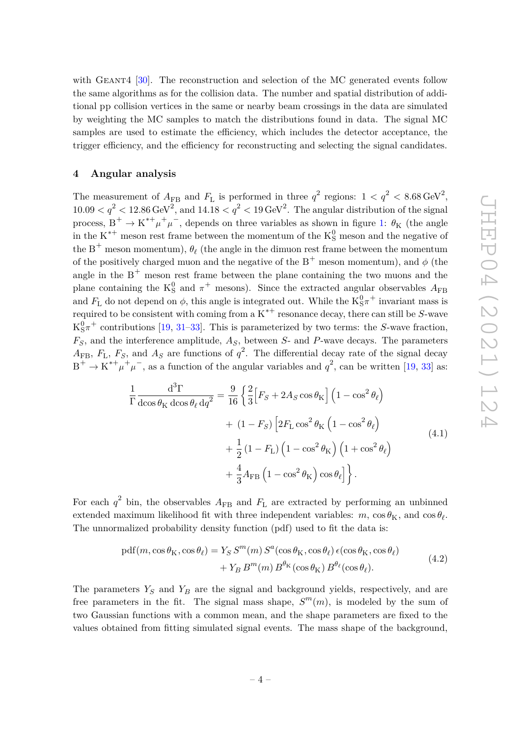with GEANT4  $[30]$ . The reconstruction and selection of the MC generated events follow the same algorithms as for the collision data. The number and spatial distribution of additional pp collision vertices in the same or nearby beam crossings in the data are simulated by weighting the MC samples to match the distributions found in data. The signal MC samples are used to estimate the efficiency, which includes the detector acceptance, the trigger efficiency, and the efficiency for reconstructing and selecting the signal candidates.

### <span id="page-4-0"></span>**4 Angular analysis**

The measurement of  $A_{\text{FB}}$  and  $F_{\text{L}}$  is performed in three  $q^2$  regions:  $1 < q^2 < 8.68 \text{ GeV}^2$ ,  $10.09 < q^2 < 12.86 \,\text{GeV}^2$ , and  $14.18 < q^2 < 19 \,\text{GeV}^2$ . The angular distribution of the signal process,  $B^+ \to K^{*+} \mu^+ \mu^-$ , depends on three variables as shown in figure [1:](#page-5-0)  $\theta_K$  (the angle in the  $K^{*+}$  meson rest frame between the momentum of the  $K^0_S$  meson and the negative of the  $B^+$  meson momentum),  $\theta_\ell$  (the angle in the dimuon rest frame between the momentum of the positively charged muon and the negative of the B<sup>+</sup> meson momentum), and  $\phi$  (the angle in the  $B^+$  meson rest frame between the plane containing the two muons and the plane containing the  $K_S^0$  and  $\pi^+$  mesons). Since the extracted angular observables  $A_{FB}$ and  $F_{\rm L}$  do not depend on  $\phi$ , this angle is integrated out. While the  $\rm K_S^0 \pi^+$  invariant mass is required to be consistent with coming from a  $K^{*+}$  resonance decay, there can still be *S*-wave  $K_S^0\pi^+$  contributions [\[19,](#page-12-6) [31](#page-13-9)[–33\]](#page-13-10). This is parameterized by two terms: the *S*-wave fraction,  $F_S$ , and the interference amplitude,  $A_S$ , between  $S$ - and  $P$ -wave decays. The parameters  $A_{FB}$ ,  $F_L$ ,  $F_S$ , and  $A_S$  are functions of  $q^2$ . The differential decay rate of the signal decay  $B^+ \to K^{*+} \mu^+ \mu^-$ , as a function of the angular variables and  $q^2$ , can be written [\[19,](#page-12-6) [33\]](#page-13-10) as:

<span id="page-4-1"></span>
$$
\frac{1}{\Gamma} \frac{d^3 \Gamma}{d \cos \theta_K \cos \theta_\ell \, dq^2} = \frac{9}{16} \left\{ \frac{2}{3} \left[ F_S + 2A_S \cos \theta_K \right] \left( 1 - \cos^2 \theta_\ell \right) \right.\n+ (1 - F_S) \left[ 2F_L \cos^2 \theta_K \left( 1 - \cos^2 \theta_\ell \right) \right.\n+ \frac{1}{2} (1 - F_L) \left( 1 - \cos^2 \theta_K \right) \left( 1 + \cos^2 \theta_\ell \right) \right.\n+ \frac{4}{3} A_{FB} \left( 1 - \cos^2 \theta_K \right) \cos \theta_\ell \right\}.
$$
\n(4.1)

For each  $q^2$  bin, the observables  $A_{\text{FB}}$  and  $F_{\text{L}}$  are extracted by performing an unbinned extended maximum likelihood fit with three independent variables:  $m$ ,  $\cos \theta_{\text{K}}$ , and  $\cos \theta_{\ell}$ . The unnormalized probability density function (pdf) used to fit the data is:

$$
pdf(m, \cos \theta_{K}, \cos \theta_{\ell}) = Y_{S} S^{m}(m) S^{a}(\cos \theta_{K}, \cos \theta_{\ell}) \epsilon(\cos \theta_{K}, \cos \theta_{\ell}) + Y_{B} B^{m}(m) B^{\theta_{K}}(\cos \theta_{K}) B^{\theta_{\ell}}(\cos \theta_{\ell}).
$$
\n(4.2)

<span id="page-4-2"></span>The parameters  $Y_S$  and  $Y_B$  are the signal and background yields, respectively, and are free parameters in the fit. The signal mass shape,  $S^m(m)$ , is modeled by the sum of two Gaussian functions with a common mean, and the shape parameters are fixed to the values obtained from fitting simulated signal events. The mass shape of the background,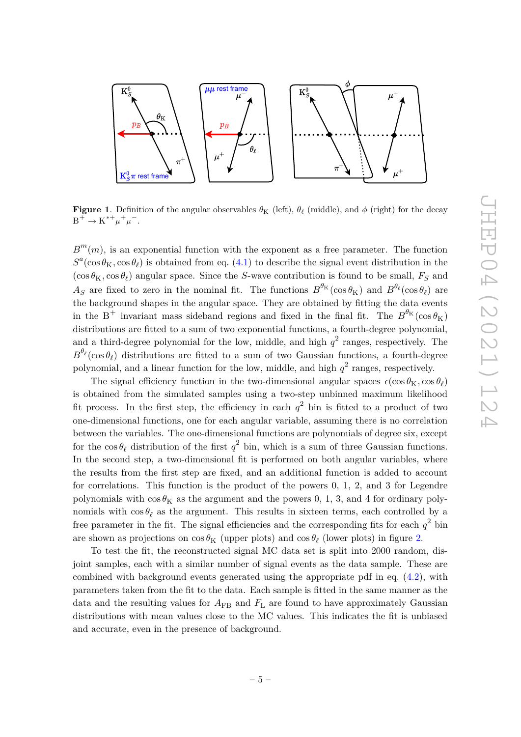

<span id="page-5-0"></span>**Figure 1**. Definition of the angular observables  $\theta_K$  (left),  $\theta_\ell$  (middle), and  $\phi$  (right) for the decay  $B^+ \to K^{*+} \mu^+ \mu^-$ .

 $B^m(m)$ , is an exponential function with the exponent as a free parameter. The function  $S^a$ (cos  $\theta_K$ , cos  $\theta_\ell$ ) is obtained from eq. [\(4.1\)](#page-4-1) to describe the signal event distribution in the  $(\cos \theta_K, \cos \theta_\ell)$  angular space. Since the *S*-wave contribution is found to be small,  $F_S$  and *A*<sub>*S*</sub> are fixed to zero in the nominal fit. The functions  $B^{\theta_K}(\cos \theta_K)$  and  $B^{\theta_\ell}(\cos \theta_\ell)$  are the background shapes in the angular space. They are obtained by fitting the data events in the B<sup>+</sup> invariant mass sideband regions and fixed in the final fit. The  $B^{\theta_K}(\cos \theta_K)$ distributions are fitted to a sum of two exponential functions, a fourth-degree polynomial, and a third-degree polynomial for the low, middle, and high  $q^2$  ranges, respectively. The  $B^{\theta_{\ell}}(\cos \theta_{\ell})$  distributions are fitted to a sum of two Gaussian functions, a fourth-degree polynomial, and a linear function for the low, middle, and high  $q^2$  ranges, respectively.

The signal efficiency function in the two-dimensional angular spaces  $\epsilon(\cos \theta_K, \cos \theta_\ell)$ is obtained from the simulated samples using a two-step unbinned maximum likelihood fit process. In the first step, the efficiency in each  $q^2$  bin is fitted to a product of two one-dimensional functions, one for each angular variable, assuming there is no correlation between the variables. The one-dimensional functions are polynomials of degree six, except for the  $\cos \theta_\ell$  distribution of the first  $q^2$  bin, which is a sum of three Gaussian functions. In the second step, a two-dimensional fit is performed on both angular variables, where the results from the first step are fixed, and an additional function is added to account for correlations. This function is the product of the powers 0, 1, 2, and 3 for Legendre polynomials with  $\cos \theta_{\rm K}$  as the argument and the powers 0, 1, 3, and 4 for ordinary polynomials with  $\cos \theta_\ell$  as the argument. This results in sixteen terms, each controlled by a free parameter in the fit. The signal efficiencies and the corresponding fits for each  $q^2$  bin are shown as projections on  $\cos \theta_K$  (upper plots) and  $\cos \theta_\ell$  (lower plots) in figure [2.](#page-6-1)

To test the fit, the reconstructed signal MC data set is split into 2000 random, disjoint samples, each with a similar number of signal events as the data sample. These are combined with background events generated using the appropriate pdf in eq. [\(4.2\)](#page-4-2), with parameters taken from the fit to the data. Each sample is fitted in the same manner as the data and the resulting values for  $A_{FB}$  and  $F_L$  are found to have approximately Gaussian distributions with mean values close to the MC values. This indicates the fit is unbiased and accurate, even in the presence of background.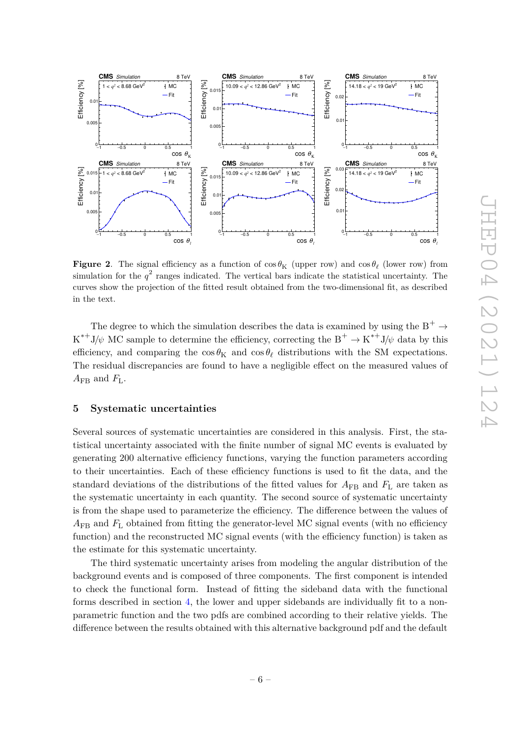

<span id="page-6-1"></span>**Figure 2**. The signal efficiency as a function of  $\cos \theta_K$  (upper row) and  $\cos \theta_\ell$  (lower row) from simulation for the  $q^2$  ranges indicated. The vertical bars indicate the statistical uncertainty. The curves show the projection of the fitted result obtained from the two-dimensional fit, as described in the text.

The degree to which the simulation describes the data is examined by using the B<sup>+</sup>  $\rightarrow$  $K^{*+}J/\psi$  MC sample to determine the efficiency, correcting the  $B^+ \to K^{*+}J/\psi$  data by this efficiency, and comparing the  $\cos \theta_K$  and  $\cos \theta_\ell$  distributions with the SM expectations. The residual discrepancies are found to have a negligible effect on the measured values of  $A_{\text{FB}}$  and  $F_{\text{L}}$ .

### <span id="page-6-0"></span>**5 Systematic uncertainties**

Several sources of systematic uncertainties are considered in this analysis. First, the statistical uncertainty associated with the finite number of signal MC events is evaluated by generating 200 alternative efficiency functions, varying the function parameters according to their uncertainties. Each of these efficiency functions is used to fit the data, and the standard deviations of the distributions of the fitted values for  $A_{FB}$  and  $F_L$  are taken as the systematic uncertainty in each quantity. The second source of systematic uncertainty is from the shape used to parameterize the efficiency. The difference between the values of  $A_{\text{FB}}$  and  $F_{\text{L}}$  obtained from fitting the generator-level MC signal events (with no efficiency function) and the reconstructed MC signal events (with the efficiency function) is taken as the estimate for this systematic uncertainty.

The third systematic uncertainty arises from modeling the angular distribution of the background events and is composed of three components. The first component is intended to check the functional form. Instead of fitting the sideband data with the functional forms described in section [4,](#page-4-0) the lower and upper sidebands are individually fit to a nonparametric function and the two pdfs are combined according to their relative yields. The difference between the results obtained with this alternative background pdf and the default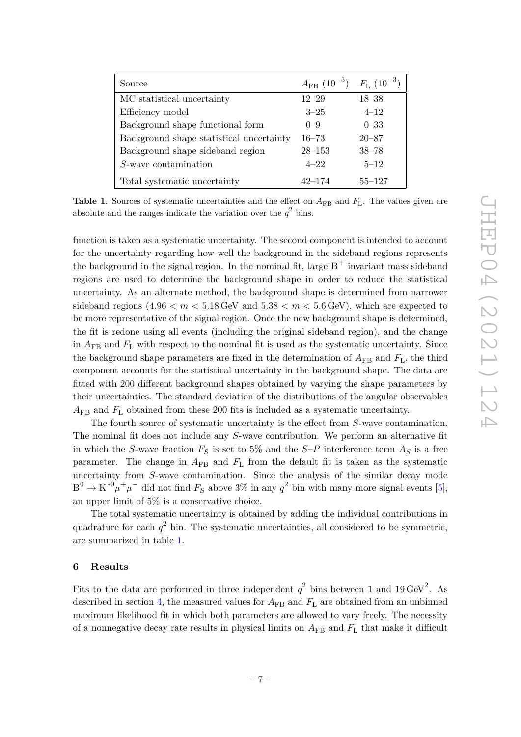| Source                                   | $A_{\rm FB}$ $(10^{-3})$ $F_{\rm L}$ $(10^{-3})$ |            |
|------------------------------------------|--------------------------------------------------|------------|
| MC statistical uncertainty               | $12 - 29$                                        | $18 - 38$  |
| Efficiency model                         | $3 - 25$                                         | $4 - 12$   |
| Background shape functional form         | $0 - 9$                                          | $0 - 33$   |
| Background shape statistical uncertainty | $16 - 73$                                        | $20 - 87$  |
| Background shape sideband region         | $28 - 153$                                       | $38 - 78$  |
| <i>S</i> -wave contamination             | $4 - 22$                                         | $5 - 12$   |
| Total systematic uncertainty             | 42–174                                           | $55 - 127$ |

<span id="page-7-1"></span>**Table 1**. Sources of systematic uncertainties and the effect on  $A_{FB}$  and  $F_L$ . The values given are absolute and the ranges indicate the variation over the  $q^2$  bins.

function is taken as a systematic uncertainty. The second component is intended to account for the uncertainty regarding how well the background in the sideband regions represents the background in the signal region. In the nominal fit, large  $B^+$  invariant mass sideband regions are used to determine the background shape in order to reduce the statistical uncertainty. As an alternate method, the background shape is determined from narrower sideband regions  $(4.96 < m < 5.18 \,\text{GeV}$  and  $5.38 < m < 5.6 \,\text{GeV}$ ), which are expected to be more representative of the signal region. Once the new background shape is determined, the fit is redone using all events (including the original sideband region), and the change in  $A_{\text{FB}}$  and  $F_{\text{L}}$  with respect to the nominal fit is used as the systematic uncertainty. Since the background shape parameters are fixed in the determination of  $A_{FB}$  and  $F_L$ , the third component accounts for the statistical uncertainty in the background shape. The data are fitted with 200 different background shapes obtained by varying the shape parameters by their uncertainties. The standard deviation of the distributions of the angular observables  $A_{\text{FB}}$  and  $F_{\text{L}}$  obtained from these 200 fits is included as a systematic uncertainty.

The fourth source of systematic uncertainty is the effect from *S*-wave contamination. The nominal fit does not include any *S*-wave contribution. We perform an alternative fit in which the *S*-wave fraction  $F_S$  is set to 5% and the *S*–*P* interference term  $A_S$  is a free parameter. The change in  $A_{FB}$  and  $F_{L}$  from the default fit is taken as the systematic uncertainty from *S*-wave contamination. Since the analysis of the similar decay mode  $B^0 \to K^{*0} \mu^+ \mu^-$  did not find  $F_S$  above 3% in any  $q^2$  bin with many more signal events [\[5\]](#page-12-7), an upper limit of 5% is a conservative choice.

The total systematic uncertainty is obtained by adding the individual contributions in quadrature for each  $q^2$  bin. The systematic uncertainties, all considered to be symmetric, are summarized in table [1.](#page-7-1)

#### <span id="page-7-0"></span>**6 Results**

Fits to the data are performed in three independent  $q^2$  bins between 1 and 19 GeV<sup>2</sup>. As described in section [4,](#page-4-0) the measured values for  $A_{FB}$  and  $F_L$  are obtained from an unbinned maximum likelihood fit in which both parameters are allowed to vary freely. The necessity of a nonnegative decay rate results in physical limits on  $A_{FB}$  and  $F_L$  that make it difficult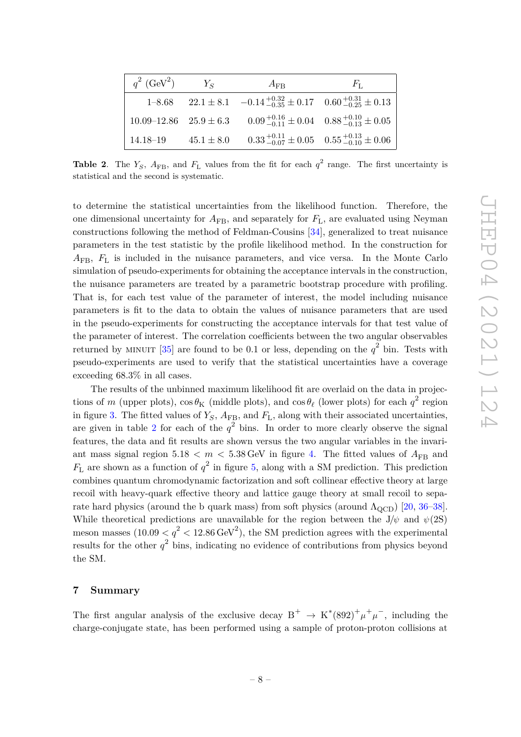| $q^2$ (GeV <sup>2</sup> ) | $Y_S$                       | $A_{\rm FB}$                                                                               | $F_{\rm I}$                                                     |
|---------------------------|-----------------------------|--------------------------------------------------------------------------------------------|-----------------------------------------------------------------|
|                           |                             | $1-8.68$ $22.1 \pm 8.1$ $-0.14^{+0.32}_{-0.35} \pm 0.17$ $0.60^{+0.31}_{-0.25} \pm 0.13$   |                                                                 |
|                           |                             | 10.09–12.86 $25.9 \pm 6.3$ $0.09_{-0.11}^{+0.16} \pm 0.04$ $0.88_{-0.13}^{+0.10} \pm 0.05$ |                                                                 |
|                           | $14.18 - 19$ $45.1 \pm 8.0$ |                                                                                            | $0.33_{-0.07}^{+0.11} \pm 0.05$ $0.55_{-0.10}^{+0.13} \pm 0.06$ |

<span id="page-8-1"></span>**Table 2**. The  $Y_s$ ,  $A_{FB}$ , and  $F_L$  values from the fit for each  $q^2$  range. The first uncertainty is statistical and the second is systematic.

to determine the statistical uncertainties from the likelihood function. Therefore, the one dimensional uncertainty for  $A_{FB}$ , and separately for  $F_L$ , are evaluated using Neyman constructions following the method of Feldman-Cousins [\[34\]](#page-13-11), generalized to treat nuisance parameters in the test statistic by the profile likelihood method. In the construction for *A*FB, *F*<sup>L</sup> is included in the nuisance parameters, and vice versa. In the Monte Carlo simulation of pseudo-experiments for obtaining the acceptance intervals in the construction, the nuisance parameters are treated by a parametric bootstrap procedure with profiling. That is, for each test value of the parameter of interest, the model including nuisance parameters is fit to the data to obtain the values of nuisance parameters that are used in the pseudo-experiments for constructing the acceptance intervals for that test value of the parameter of interest. The correlation coefficients between the two angular observables returned by MINUIT [\[35\]](#page-13-12) are found to be 0.1 or less, depending on the  $q^2$  bin. Tests with pseudo-experiments are used to verify that the statistical uncertainties have a coverage exceeding 68.3% in all cases.

The results of the unbinned maximum likelihood fit are overlaid on the data in projections of *m* (upper plots),  $\cos \theta_K$  (middle plots), and  $\cos \theta_\ell$  (lower plots) for each  $q^2$  region in figure [3.](#page-9-0) The fitted values of  $Y_S$ ,  $A_{FB}$ , and  $F_L$ , along with their associated uncertainties, are given in table [2](#page-8-1) for each of the  $q^2$  bins. In order to more clearly observe the signal features, the data and fit results are shown versus the two angular variables in the invariant mass signal region  $5.18 < m < 5.38$  GeV in figure [4.](#page-9-1) The fitted values of  $A_{\text{FB}}$  and  $F<sub>L</sub>$  are shown as a function of  $q<sup>2</sup>$  in figure [5,](#page-10-0) along with a SM prediction. This prediction combines quantum chromodynamic factorization and soft collinear effective theory at large recoil with heavy-quark effective theory and lattice gauge theory at small recoil to separate hard physics (around the b quark mass) from soft physics (around  $\Lambda_{\rm QCD}$ ) [\[20,](#page-13-13) [36–](#page-13-14)[38\]](#page-13-15). While theoretical predictions are unavailable for the region between the  $J/\psi$  and  $\psi$ (2S) meson masses  $(10.09 < q^2 < 12.86 \,\text{GeV}^2)$ , the SM prediction agrees with the experimental results for the other  $q^2$  bins, indicating no evidence of contributions from physics beyond the SM.

## <span id="page-8-0"></span>**7 Summary**

The first angular analysis of the exclusive decay  $B^+ \to K^*(892)^+ \mu^+ \mu^-$ , including the charge-conjugate state, has been performed using a sample of proton-proton collisions at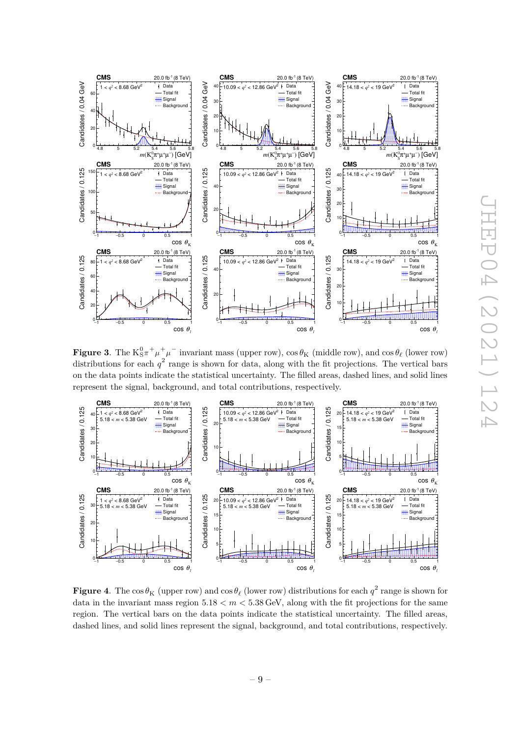

<span id="page-9-0"></span>Figure 3. The  $K^0_S \pi^+ \mu^+ \mu^-$  invariant mass (upper row),  $\cos \theta_K$  (middle row), and  $\cos \theta_\ell$  (lower row) distributions for each  $q^2$  range is shown for data, along with the fit projections. The vertical bars on the data points indicate the statistical uncertainty. The filled areas, dashed lines, and solid lines represent the signal, background, and total contributions, respectively.



<span id="page-9-1"></span>**Figure 4**. The  $\cos\theta_K$  (upper row) and  $\cos\theta_\ell$  (lower row) distributions for each  $q^2$  range is shown for data in the invariant mass region 5*.*18 *< m <* 5*.*38 GeV, along with the fit projections for the same region. The vertical bars on the data points indicate the statistical uncertainty. The filled areas, dashed lines, and solid lines represent the signal, background, and total contributions, respectively.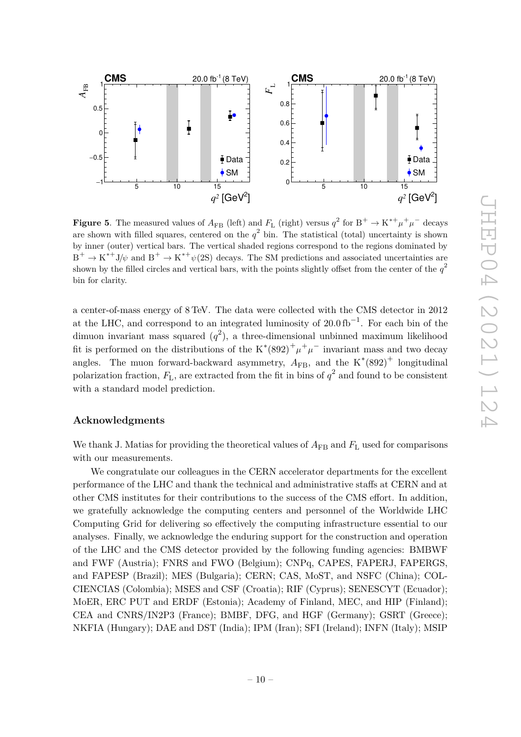

<span id="page-10-0"></span>**Figure 5**. The measured values of  $A_{FB}$  (left) and  $F_L$  (right) versus  $q^2$  for  $B^+ \to K^{*+} \mu^+ \mu^-$  decays are shown with filled squares, centered on the  $q^2$  bin. The statistical (total) uncertainty is shown by inner (outer) vertical bars. The vertical shaded regions correspond to the regions dominated by  $B^+ \to K^{*+} J/\psi$  and  $B^+ \to K^{*+} \psi(2S)$  decays. The SM predictions and associated uncertainties are shown by the filled circles and vertical bars, with the points slightly offset from the center of the  $q<sup>2</sup>$ bin for clarity.

a center-of-mass energy of 8 TeV. The data were collected with the CMS detector in 2012 at the LHC, and correspond to an integrated luminosity of 20*.*0 fb−<sup>1</sup> . For each bin of the dimuon invariant mass squared (*q* 2 ), a three-dimensional unbinned maximum likelihood fit is performed on the distributions of the  $K^*(892)^+ \mu^+ \mu^-$  invariant mass and two decay angles. The muon forward-backward asymmetry,  $A_{\text{FB}}$ , and the  $K^*(892)^+$  longitudinal polarization fraction,  $F_{\text{L}}$ , are extracted from the fit in bins of  $q^2$  and found to be consistent with a standard model prediction.

### **Acknowledgments**

We thank J. Matias for providing the theoretical values of  $A_{FB}$  and  $F_L$  used for comparisons with our measurements.

We congratulate our colleagues in the CERN accelerator departments for the excellent performance of the LHC and thank the technical and administrative staffs at CERN and at other CMS institutes for their contributions to the success of the CMS effort. In addition, we gratefully acknowledge the computing centers and personnel of the Worldwide LHC Computing Grid for delivering so effectively the computing infrastructure essential to our analyses. Finally, we acknowledge the enduring support for the construction and operation of the LHC and the CMS detector provided by the following funding agencies: BMBWF and FWF (Austria); FNRS and FWO (Belgium); CNPq, CAPES, FAPERJ, FAPERGS, and FAPESP (Brazil); MES (Bulgaria); CERN; CAS, MoST, and NSFC (China); COL-CIENCIAS (Colombia); MSES and CSF (Croatia); RIF (Cyprus); SENESCYT (Ecuador); MoER, ERC PUT and ERDF (Estonia); Academy of Finland, MEC, and HIP (Finland); CEA and CNRS/IN2P3 (France); BMBF, DFG, and HGF (Germany); GSRT (Greece); NKFIA (Hungary); DAE and DST (India); IPM (Iran); SFI (Ireland); INFN (Italy); MSIP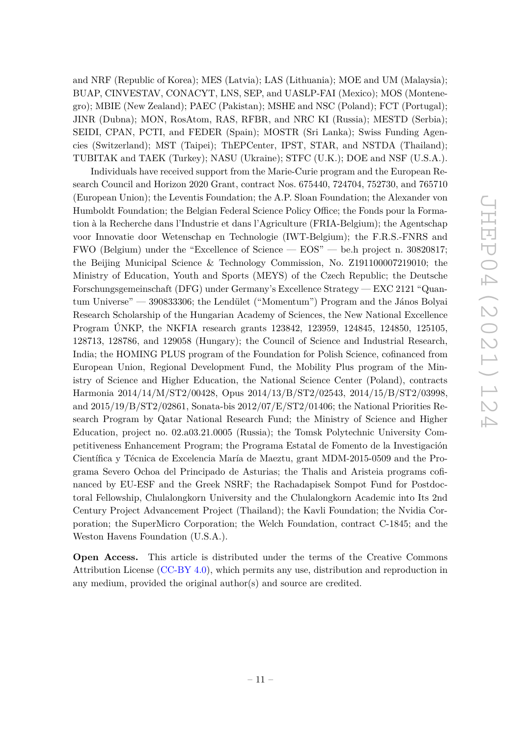and NRF (Republic of Korea); MES (Latvia); LAS (Lithuania); MOE and UM (Malaysia); BUAP, CINVESTAV, CONACYT, LNS, SEP, and UASLP-FAI (Mexico); MOS (Montenegro); MBIE (New Zealand); PAEC (Pakistan); MSHE and NSC (Poland); FCT (Portugal); JINR (Dubna); MON, RosAtom, RAS, RFBR, and NRC KI (Russia); MESTD (Serbia); SEIDI, CPAN, PCTI, and FEDER (Spain); MOSTR (Sri Lanka); Swiss Funding Agencies (Switzerland); MST (Taipei); ThEPCenter, IPST, STAR, and NSTDA (Thailand); TUBITAK and TAEK (Turkey); NASU (Ukraine); STFC (U.K.); DOE and NSF (U.S.A.).

Individuals have received support from the Marie-Curie program and the European Research Council and Horizon 2020 Grant, contract Nos. 675440, 724704, 752730, and 765710 (European Union); the Leventis Foundation; the A.P. Sloan Foundation; the Alexander von Humboldt Foundation; the Belgian Federal Science Policy Office; the Fonds pour la Formation à la Recherche dans l'Industrie et dans l'Agriculture (FRIA-Belgium); the Agentschap voor Innovatie door Wetenschap en Technologie (IWT-Belgium); the F.R.S.-FNRS and FWO (Belgium) under the "Excellence of Science —  $EOS''$  — be.h project n. 30820817; the Beijing Municipal Science & Technology Commission, No. Z191100007219010; the Ministry of Education, Youth and Sports (MEYS) of the Czech Republic; the Deutsche Forschungsgemeinschaft (DFG) under Germany's Excellence Strategy — EXC 2121 "Quantum Universe" — 390833306; the Lendület ("Momentum") Program and the János Bolyai Research Scholarship of the Hungarian Academy of Sciences, the New National Excellence Program ÚNKP, the NKFIA research grants 123842, 123959, 124845, 124850, 125105, 128713, 128786, and 129058 (Hungary); the Council of Science and Industrial Research, India; the HOMING PLUS program of the Foundation for Polish Science, cofinanced from European Union, Regional Development Fund, the Mobility Plus program of the Ministry of Science and Higher Education, the National Science Center (Poland), contracts Harmonia 2014/14/M/ST2/00428, Opus 2014/13/B/ST2/02543, 2014/15/B/ST2/03998, and 2015/19/B/ST2/02861, Sonata-bis 2012/07/E/ST2/01406; the National Priorities Research Program by Qatar National Research Fund; the Ministry of Science and Higher Education, project no. 02.a03.21.0005 (Russia); the Tomsk Polytechnic University Competitiveness Enhancement Program; the Programa Estatal de Fomento de la Investigación Científica y Técnica de Excelencia María de Maeztu, grant MDM-2015-0509 and the Programa Severo Ochoa del Principado de Asturias; the Thalis and Aristeia programs cofinanced by EU-ESF and the Greek NSRF; the Rachadapisek Sompot Fund for Postdoctoral Fellowship, Chulalongkorn University and the Chulalongkorn Academic into Its 2nd Century Project Advancement Project (Thailand); the Kavli Foundation; the Nvidia Corporation; the SuperMicro Corporation; the Welch Foundation, contract C-1845; and the Weston Havens Foundation (U.S.A.).

**Open Access.** This article is distributed under the terms of the Creative Commons Attribution License [\(CC-BY 4.0\)](https://creativecommons.org/licenses/by/4.0/), which permits any use, distribution and reproduction in any medium, provided the original author(s) and source are credited.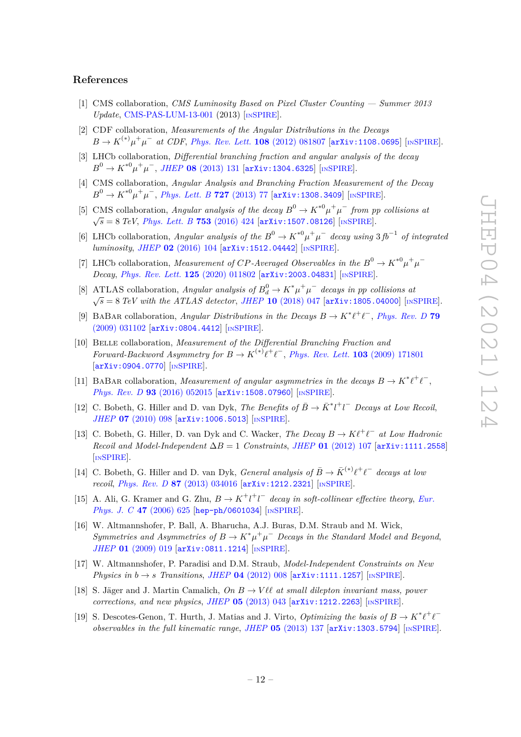### **References**

- <span id="page-12-0"></span>[1] CMS collaboration, *CMS Luminosity Based on Pixel Cluster Counting — Summer 2013 Update*, [CMS-PAS-LUM-13-001](https://cds.cern.ch/record/1598864) (2013) [IN[SPIRE](https://inspirehep.net/literature/1260876)].
- <span id="page-12-1"></span>[2] CDF collaboration, *Measurements of the Angular Distributions in the Decays*  $B \to K^{(*)} \mu^+ \mu^-$  *at CDF*, *[Phys. Rev. Lett.](https://doi.org/10.1103/PhysRevLett.108.081807)* **108** (2012) 081807 [[arXiv:1108.0695](https://arxiv.org/abs/1108.0695)] [IN[SPIRE](https://inspirehep.net/search?p=find+EPRINT%2BarXiv%3A1108.0695)].
- [3] LHCb collaboration, *Differential branching fraction and angular analysis of the decay*  $B^0 \to K^{*0} \mu^+ \mu^-$ , *JHEP* 08 [\(2013\) 131](https://doi.org/10.1007/JHEP08(2013)131) [[arXiv:1304.6325](https://arxiv.org/abs/1304.6325)] [IN[SPIRE](https://inspirehep.net/search?p=find+EPRINT%2BarXiv%3A1304.6325)].
- [4] CMS collaboration, *Angular Analysis and Branching Fraction Measurement of the Decay*  $B^0 \to K^{*0} \mu^+ \mu^-,$  *[Phys. Lett. B](https://doi.org/10.1016/j.physletb.2013.10.017)* **727** (2013) 77 [[arXiv:1308.3409](https://arxiv.org/abs/1308.3409)] [IN[SPIRE](https://inspirehep.net/search?p=find+EPRINT%2BarXiv%3A1308.3409)].
- <span id="page-12-7"></span>[5] CMS collaboration, *Angular analysis of the decay*  $B^0 \to K^{*0} \mu^+ \mu^-$  *from pp collisions at*  $\sqrt{s} = 8 \text{ TeV}, \text{Phys. Lett. } B$  **753** (2016) 424 [[arXiv:1507.08126](https://arxiv.org/abs/1507.08126)] [IN[SPIRE](https://inspirehep.net/search?p=find+EPRINT%2BarXiv%3A1507.08126)].
- [6] LHCb collaboration, *Angular analysis of the*  $B^0 \to K^{*0} \mu^+ \mu^-$  decay using  $3 f b^{-1}$  of integrated *luminosity*, *JHEP* **02** [\(2016\) 104](https://doi.org/10.1007/JHEP02(2016)104) [[arXiv:1512.04442](https://arxiv.org/abs/1512.04442)] [IN[SPIRE](https://inspirehep.net/search?p=find+EPRINT%2BarXiv%3A1512.04442)].
- [7] LHCb collaboration, *Measurement of CP-Averaged Observables in the*  $B^0 \to K^{*0} \mu^+ \mu^-$ *Decay*, *[Phys. Rev. Lett.](https://doi.org/10.1103/PhysRevLett.125.011802)* **125** (2020) 011802 [[arXiv:2003.04831](https://arxiv.org/abs/2003.04831)] [IN[SPIRE](https://inspirehep.net/search?p=find+EPRINT%2BarXiv%3A2003.04831)].
- <span id="page-12-2"></span>[8] ATLAS collaboration, *Angular analysis of*  $B_0^0 \to K^* \mu^+ \mu^-$  decays in pp collisions at  $\sqrt{s} = 8 \text{ TeV}$  with the ATLAS detector, *JHEP* 10 [\(2018\) 047](https://doi.org/10.1007/JHEP10(2018)047) [[arXiv:1805.04000](https://arxiv.org/abs/1805.04000)] [IN[SPIRE](https://inspirehep.net/search?p=find+EPRINT%2BarXiv%3A1805.04000)].
- <span id="page-12-3"></span>[9] BABAR collaboration, *Angular Distributions in the Decays*  $B \to K^* \ell^+ \ell^-$ , *[Phys. Rev. D](https://doi.org/10.1103/PhysRevD.79.031102)* **79** [\(2009\) 031102](https://doi.org/10.1103/PhysRevD.79.031102) [[arXiv:0804.4412](https://arxiv.org/abs/0804.4412)] [IN[SPIRE](https://inspirehep.net/search?p=find+EPRINT%2BarXiv%3A0804.4412)].
- [10] Belle collaboration, *Measurement of the Differential Branching Fraction and Forward-Backword Asymmetry for*  $B \to K^{(*)} \ell^+ \ell^-$ , *[Phys. Rev. Lett.](https://doi.org/10.1103/PhysRevLett.103.171801)* **103** (2009) 171801 [[arXiv:0904.0770](https://arxiv.org/abs/0904.0770)] [IN[SPIRE](https://inspirehep.net/search?p=find+EPRINT%2BarXiv%3A0904.0770)].
- <span id="page-12-4"></span>[11] BABAR collaboration, *Measurement of angular asymmetries in the decays*  $B \to K^* \ell^+ \ell^-$ , *Phys. Rev. D* 93 [\(2016\) 052015](https://doi.org/10.1103/PhysRevD.93.052015) [[arXiv:1508.07960](https://arxiv.org/abs/1508.07960)] [IN[SPIRE](https://inspirehep.net/search?p=find+EPRINT%2BarXiv%3A1508.07960)].
- <span id="page-12-5"></span>[12] C. Bobeth, G. Hiller and D. van Dyk, *The Benefits of*  $\bar{B} \to \bar{K}^* l^+ l^-$  *Decays at Low Recoil*, *JHEP* **07** [\(2010\) 098](https://doi.org/10.1007/JHEP07(2010)098) [[arXiv:1006.5013](https://arxiv.org/abs/1006.5013)] [IN[SPIRE](https://inspirehep.net/search?p=find+EPRINT%2BarXiv%3A1006.5013)].
- [13] C. Bobeth, G. Hiller, D. van Dyk and C. Wacker, *The Decay*  $B \to K\ell^+\ell^-$  at Low Hadronic *Recoil and Model-Independent*  $\Delta B = 1$  *Constraints*, *JHEP* 01 [\(2012\) 107](https://doi.org/10.1007/JHEP01(2012)107) [[arXiv:1111.2558](https://arxiv.org/abs/1111.2558)] [IN[SPIRE](https://inspirehep.net/search?p=find+EPRINT%2BarXiv%3A1111.2558)].
- [14] C. Bobeth, G. Hiller and D. van Dyk, *General analysis of*  $\bar{B} \to \bar{K}^{(*)}\ell^+\ell^-$  decays at low *recoil*, *Phys. Rev. D* **87** [\(2013\) 034016](https://doi.org/10.1103/PhysRevD.87.034016) [[arXiv:1212.2321](https://arxiv.org/abs/1212.2321)] [IN[SPIRE](https://inspirehep.net/search?p=find+EPRINT%2BarXiv%3A1212.2321)].
- [15] A. Ali, G. Kramer and G. Zhu,  $B \to K^+ l^+ l^-$  decay in soft-collinear effective theory, *[Eur.](https://doi.org/10.1140/epjc/s2006-02596-4) [Phys. J. C](https://doi.org/10.1140/epjc/s2006-02596-4)* **47** (2006) 625 [[hep-ph/0601034](https://arxiv.org/abs/hep-ph/0601034)] [IN[SPIRE](https://inspirehep.net/search?p=find+EPRINT%2Bhep-ph%2F0601034)].
- [16] W. Altmannshofer, P. Ball, A. Bharucha, A.J. Buras, D.M. Straub and M. Wick, *Symmetries and Asymmetries of*  $B \to K^* \mu^+ \mu^-$  *Decays in the Standard Model and Beyond*, *JHEP* **01** [\(2009\) 019](https://doi.org/10.1088/1126-6708/2009/01/019) [[arXiv:0811.1214](https://arxiv.org/abs/0811.1214)] [IN[SPIRE](https://inspirehep.net/search?p=find+EPRINT%2BarXiv%3A0811.1214)].
- [17] W. Altmannshofer, P. Paradisi and D.M. Straub, *Model-Independent Constraints on New Physics in*  $b \rightarrow s$  *Transitions*, *JHEP* **04** [\(2012\) 008](https://doi.org/10.1007/JHEP04(2012)008) [[arXiv:1111.1257](https://arxiv.org/abs/1111.1257)] [IN[SPIRE](https://inspirehep.net/search?p=find+EPRINT%2BarXiv%3A1111.1257)].
- [18] S. Jäger and J. Martin Camalich,  $On B \rightarrow V \ell \ell$  *at small dilepton invariant mass, power corrections, and new physics*, *JHEP* **05** [\(2013\) 043](https://doi.org/10.1007/JHEP05(2013)043) [[arXiv:1212.2263](https://arxiv.org/abs/1212.2263)] [IN[SPIRE](https://inspirehep.net/search?p=find+EPRINT%2BarXiv%3A1212.2263)].
- <span id="page-12-6"></span>[19] S. Descotes-Genon, T. Hurth, J. Matias and J. Virto, *Optimizing the basis of*  $B \to K^* \ell^+ \ell^$ *observables in the full kinematic range*, *JHEP* **05** [\(2013\) 137](https://doi.org/10.1007/JHEP05(2013)137) [[arXiv:1303.5794](https://arxiv.org/abs/1303.5794)] [IN[SPIRE](https://inspirehep.net/search?p=find+EPRINT%2BarXiv%3A1303.5794)].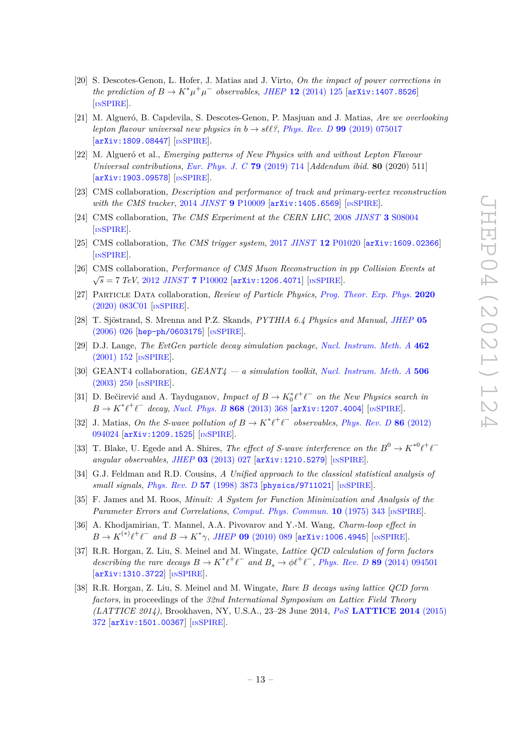- <span id="page-13-13"></span>[20] S. Descotes-Genon, L. Hofer, J. Matias and J. Virto, *On the impact of power corrections in the prediction of*  $B \to K^* \mu^+ \mu^-$  *observables, JHEP* 12 [\(2014\) 125](https://doi.org/10.1007/JHEP12(2014)125) [[arXiv:1407.8526](https://arxiv.org/abs/1407.8526)] [IN[SPIRE](https://inspirehep.net/search?p=find+EPRINT%2BarXiv%3A1407.8526)].
- [21] M. Algueró, B. Capdevila, S. Descotes-Genon, P. Masjuan and J. Matias, *Are we overlooking lepton flavour universal new physics in*  $b \rightarrow s\ell\ell$ ?, *Phys. Rev. D* **99** [\(2019\) 075017](https://doi.org/10.1103/PhysRevD.99.075017) [[arXiv:1809.08447](https://arxiv.org/abs/1809.08447)] [IN[SPIRE](https://inspirehep.net/search?p=find+EPRINT%2BarXiv%3A1809.08447)].
- <span id="page-13-0"></span>[22] M. Algueró et al., *Emerging patterns of New Physics with and without Lepton Flavour Universal contributions*, *[Eur. Phys. J. C](https://doi.org/10.1140/epjc/s10052-019-7216-3)* **79** (2019) 714 [*Addendum ibid.* **80** (2020) 511] [[arXiv:1903.09578](https://arxiv.org/abs/1903.09578)] [IN[SPIRE](https://inspirehep.net/search?p=find+EPRINT%2BarXiv%3A1903.09578)].
- <span id="page-13-1"></span>[23] CMS collaboration, *Description and performance of track and primary-vertex reconstruction with the CMS tracker*, 2014 *JINST* **9** [P10009](https://doi.org/10.1088/1748-0221/9/10/P10009) [[arXiv:1405.6569](https://arxiv.org/abs/1405.6569)] [IN[SPIRE](https://inspirehep.net/search?p=find+EPRINT%2BarXiv%3A1405.6569)].
- <span id="page-13-2"></span>[24] CMS collaboration, *The CMS Experiment at the CERN LHC*, 2008 *JINST* **3** [S08004](https://doi.org/10.1088/1748-0221/3/08/S08004) [IN[SPIRE](https://inspirehep.net/search?p=find+J%20%22JINST%2C3%2CS08004%22)].
- <span id="page-13-3"></span>[25] CMS collaboration, *The CMS trigger system*, 2017 *JINST* **12** [P01020](https://doi.org/10.1088/1748-0221/12/01/P01020) [[arXiv:1609.02366](https://arxiv.org/abs/1609.02366)] [IN[SPIRE](https://inspirehep.net/search?p=find+EPRINT%2BarXiv%3A1609.02366)].
- <span id="page-13-4"></span>[26] CMS collaboration, *Performance of CMS Muon Reconstruction in pp Collision Events at* √  $\sqrt{s} = 7 \text{ TeV}, 2012 \text{ JINST } 7 \text{ P10002}$  $\sqrt{s} = 7 \text{ TeV}, 2012 \text{ JINST } 7 \text{ P10002}$  $\sqrt{s} = 7 \text{ TeV}, 2012 \text{ JINST } 7 \text{ P10002}$  [[arXiv:1206.4071](https://arxiv.org/abs/1206.4071)] [IN[SPIRE](https://inspirehep.net/search?p=find+EPRINT%2BarXiv%3A1206.4071)].
- <span id="page-13-5"></span>[27] Particle Data collaboration, *Review of Particle Physics*, *[Prog. Theor. Exp. Phys.](https://doi.org/10.1093/ptep/ptaa104)* **2020** [\(2020\) 083C01](https://doi.org/10.1093/ptep/ptaa104) [IN[SPIRE](https://inspirehep.net/literature/1812251)].
- <span id="page-13-6"></span>[28] T. Sjöstrand, S. Mrenna and P.Z. Skands, *PYTHIA 6.4 Physics and Manual*, *[JHEP](https://doi.org/10.1088/1126-6708/2006/05/026)* **05** [\(2006\) 026](https://doi.org/10.1088/1126-6708/2006/05/026) [[hep-ph/0603175](https://arxiv.org/abs/hep-ph/0603175)] [IN[SPIRE](https://inspirehep.net/search?p=find+EPRINT%2Bhep-ph%2F0603175)].
- <span id="page-13-7"></span>[29] D.J. Lange, *The EvtGen particle decay simulation package*, *[Nucl. Instrum. Meth. A](https://doi.org/10.1016/S0168-9002(01)00089-4)* **462** [\(2001\) 152](https://doi.org/10.1016/S0168-9002(01)00089-4) [IN[SPIRE](https://inspirehep.net/search?p=find+J%20%22Nucl.Instrum.Meth.%2CA462%2C152%22)].
- <span id="page-13-8"></span>[30] GEANT4 collaboration, *GEANT4 — a simulation toolkit*, *[Nucl. Instrum. Meth. A](https://doi.org/10.1016/S0168-9002(03)01368-8)* **506** [\(2003\) 250](https://doi.org/10.1016/S0168-9002(03)01368-8) [IN[SPIRE](https://inspirehep.net/search?p=find+J%20%22Nucl.Instrum.Meth.%2CA506%2C250%22)].
- <span id="page-13-9"></span>[31] D. Bečirević and A. Tayduganov, *Impact of*  $B \to K_0^* \ell^+ \ell^-$  on the New Physics search in  $B \to K^* \ell^+ \ell^-$  decay, *[Nucl. Phys. B](https://doi.org/10.1016/j.nuclphysb.2012.11.016)* **868** (2013) 368 [[arXiv:1207.4004](https://arxiv.org/abs/1207.4004)] [IN[SPIRE](https://inspirehep.net/search?p=find+EPRINT%2BarXiv%3A1207.4004)].
- [32] J. Matias, *On the S-wave pollution of*  $B \to K^* \ell^+ \ell^-$  *observables*, *[Phys. Rev. D](https://doi.org/10.1103/PhysRevD.86.094024)* 86 (2012) [094024](https://doi.org/10.1103/PhysRevD.86.094024) [[arXiv:1209.1525](https://arxiv.org/abs/1209.1525)] [IN[SPIRE](https://inspirehep.net/search?p=find+EPRINT%2BarXiv%3A1209.1525)].
- <span id="page-13-10"></span>[33] T. Blake, U. Egede and A. Shires, *The effect of S-wave interference on the*  $B^0 \to K^{*0} \ell^+ \ell^$ *angular observables*, *JHEP* **03** [\(2013\) 027](https://doi.org/10.1007/JHEP03(2013)027) [[arXiv:1210.5279](https://arxiv.org/abs/1210.5279)] [IN[SPIRE](https://inspirehep.net/search?p=find+EPRINT%2BarXiv%3A1210.5279)].
- <span id="page-13-11"></span>[34] G.J. Feldman and R.D. Cousins, *A Unified approach to the classical statistical analysis of small signals*, *[Phys. Rev. D](https://doi.org/10.1103/PhysRevD.57.3873)* **57** (1998) 3873 [[physics/9711021](https://arxiv.org/abs/physics/9711021)] [IN[SPIRE](https://inspirehep.net/search?p=find+EPRINT%2Bphysics%2F9711021)].
- <span id="page-13-12"></span>[35] F. James and M. Roos, *Minuit: A System for Function Minimization and Analysis of the Parameter Errors and Correlations*, *[Comput. Phys. Commun.](https://doi.org/10.1016/0010-4655(75)90039-9)* **10** (1975) 343 [IN[SPIRE](https://inspirehep.net/search?p=find+J%20%22Comput.Phys.Commun.%2C10%2C343%22)].
- <span id="page-13-14"></span>[36] A. Khodjamirian, T. Mannel, A.A. Pivovarov and Y.-M. Wang, *Charm-loop effect in*  $B \to K^{(*)} \ell^+ \ell^-$  and  $B \to K^* \gamma$ , *JHEP* **09** [\(2010\) 089](https://doi.org/10.1007/JHEP09(2010)089) [[arXiv:1006.4945](https://arxiv.org/abs/1006.4945)] [IN[SPIRE](https://inspirehep.net/search?p=find+EPRINT%2BarXiv%3A1006.4945)].
- [37] R.R. Horgan, Z. Liu, S. Meinel and M. Wingate, *Lattice QCD calculation of form factors describing the rare decays*  $B \to K^* \ell^+ \ell^-$  *and*  $B_s \to \phi \ell^+ \ell^-$ , *Phys. Rev. D* **89** [\(2014\) 094501](https://doi.org/10.1103/PhysRevD.89.094501) [[arXiv:1310.3722](https://arxiv.org/abs/1310.3722)] [IN[SPIRE](https://inspirehep.net/search?p=find+EPRINT%2BarXiv%3A1310.3722)].
- <span id="page-13-15"></span>[38] R.R. Horgan, Z. Liu, S. Meinel and M. Wingate, *Rare B decays using lattice QCD form factors*, in proceedings of the *32nd International Symposium on Lattice Field Theory (LATTICE 2014)*, Brookhaven, NY, U.S.A., 23–28 June 2014, *PoS* **[LATTICE 2014](https://doi.org/10.22323/1.214.0372)** (2015) [372](https://doi.org/10.22323/1.214.0372) [[arXiv:1501.00367](https://arxiv.org/abs/1501.00367)] [IN[SPIRE](https://inspirehep.net/search?p=find+EPRINT%2BarXiv%3A1501.00367)].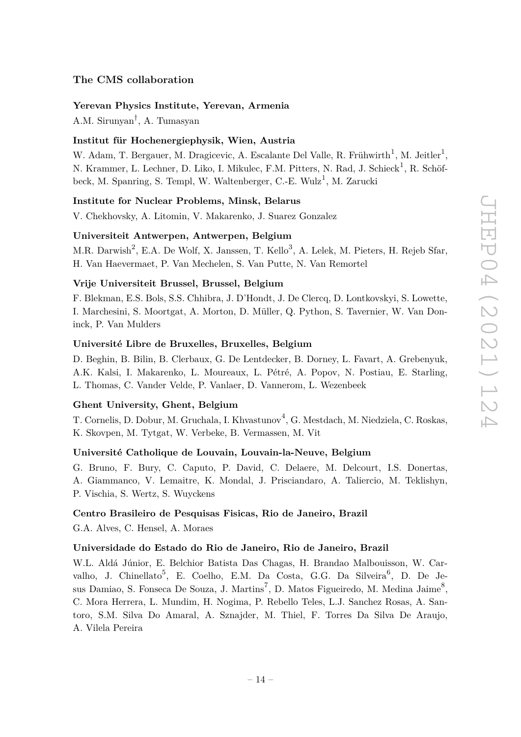### **The CMS collaboration**

#### <span id="page-14-0"></span>**Yerevan Physics Institute, Yerevan, Armenia**

A.M. Sirunyan† , A. Tumasyan

### **Institut für Hochenergiephysik, Wien, Austria**

W. Adam, T. Bergauer, M. Dragicevic, A. Escalante Del Valle, R. Frühwirth<sup>1</sup>, M. Jeitler<sup>1</sup>, N. Krammer, L. Lechner, D. Liko, I. Mikulec, F.M. Pitters, N. Rad, J. Schieck<sup>1</sup>, R. Schöfbeck, M. Spanring, S. Templ, W. Waltenberger, C.-E. Wulz<sup>1</sup>, M. Zarucki

#### **Institute for Nuclear Problems, Minsk, Belarus**

V. Chekhovsky, A. Litomin, V. Makarenko, J. Suarez Gonzalez

### **Universiteit Antwerpen, Antwerpen, Belgium**

M.R. Darwish<sup>2</sup>, E.A. De Wolf, X. Janssen, T. Kello<sup>3</sup>, A. Lelek, M. Pieters, H. Rejeb Sfar, H. Van Haevermaet, P. Van Mechelen, S. Van Putte, N. Van Remortel

### **Vrije Universiteit Brussel, Brussel, Belgium**

F. Blekman, E.S. Bols, S.S. Chhibra, J. D'Hondt, J. De Clercq, D. Lontkovskyi, S. Lowette, I. Marchesini, S. Moortgat, A. Morton, D. Müller, Q. Python, S. Tavernier, W. Van Doninck, P. Van Mulders

### **Université Libre de Bruxelles, Bruxelles, Belgium**

D. Beghin, B. Bilin, B. Clerbaux, G. De Lentdecker, B. Dorney, L. Favart, A. Grebenyuk, A.K. Kalsi, I. Makarenko, L. Moureaux, L. Pétré, A. Popov, N. Postiau, E. Starling, L. Thomas, C. Vander Velde, P. Vanlaer, D. Vannerom, L. Wezenbeek

#### **Ghent University, Ghent, Belgium**

T. Cornelis, D. Dobur, M. Gruchala, I. Khvastunov<sup>4</sup>, G. Mestdach, M. Niedziela, C. Roskas, K. Skovpen, M. Tytgat, W. Verbeke, B. Vermassen, M. Vit

#### **Université Catholique de Louvain, Louvain-la-Neuve, Belgium**

G. Bruno, F. Bury, C. Caputo, P. David, C. Delaere, M. Delcourt, I.S. Donertas, A. Giammanco, V. Lemaitre, K. Mondal, J. Prisciandaro, A. Taliercio, M. Teklishyn, P. Vischia, S. Wertz, S. Wuyckens

#### **Centro Brasileiro de Pesquisas Fisicas, Rio de Janeiro, Brazil**

G.A. Alves, C. Hensel, A. Moraes

#### **Universidade do Estado do Rio de Janeiro, Rio de Janeiro, Brazil**

W.L. Aldá Júnior, E. Belchior Batista Das Chagas, H. Brandao Malbouisson, W. Carvalho, J. Chinellato<sup>5</sup>, E. Coelho, E.M. Da Costa, G.G. Da Silveira<sup>6</sup>, D. De Jesus Damiao, S. Fonseca De Souza, J. Martins<sup>7</sup>, D. Matos Figueiredo, M. Medina Jaime<sup>8</sup>, C. Mora Herrera, L. Mundim, H. Nogima, P. Rebello Teles, L.J. Sanchez Rosas, A. Santoro, S.M. Silva Do Amaral, A. Sznajder, M. Thiel, F. Torres Da Silva De Araujo, A. Vilela Pereira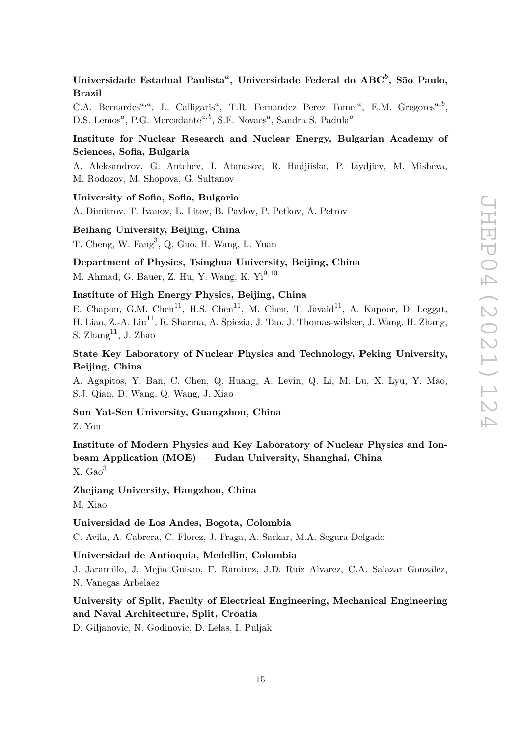# **Universidade Estadual Paulista***<sup>a</sup>* **, Universidade Federal do ABC***<sup>b</sup>* **, São Paulo, Brazil**

C.A. Bernardes<sup>*a*,*a*</sup>, L. Calligaris<sup>*a*</sup>, T.R. Fernandez Perez Tomei<sup>*a*</sup>, E.M. Gregores<sup>*a*,*b*</sup>, D.S. Lemos*<sup>a</sup>* , P.G. Mercadante*a,b*, S.F. Novaes*<sup>a</sup>* , Sandra S. Padula*<sup>a</sup>*

# **Institute for Nuclear Research and Nuclear Energy, Bulgarian Academy of Sciences, Sofia, Bulgaria**

A. Aleksandrov, G. Antchev, I. Atanasov, R. Hadjiiska, P. Iaydjiev, M. Misheva, M. Rodozov, M. Shopova, G. Sultanov

#### **University of Sofia, Sofia, Bulgaria**

A. Dimitrov, T. Ivanov, L. Litov, B. Pavlov, P. Petkov, A. Petrov

### **Beihang University, Beijing, China**

T. Cheng, W. Fang<sup>3</sup>, Q. Guo, H. Wang, L. Yuan

**Department of Physics, Tsinghua University, Beijing, China**

M. Ahmad, G. Bauer, Z. Hu, Y. Wang, K. Yi9*,*<sup>10</sup>

# **Institute of High Energy Physics, Beijing, China**

E. Chapon, G.M. Chen<sup>11</sup>, H.S. Chen<sup>11</sup>, M. Chen, T. Javaid<sup>11</sup>, A. Kapoor, D. Leggat, H. Liao, Z.-A. Liu<sup>11</sup>, R. Sharma, A. Spiezia, J. Tao, J. Thomas-wilsker, J. Wang, H. Zhang, S.  $Zhang<sup>11</sup>, J. Zhao$ 

# **State Key Laboratory of Nuclear Physics and Technology, Peking University, Beijing, China**

A. Agapitos, Y. Ban, C. Chen, Q. Huang, A. Levin, Q. Li, M. Lu, X. Lyu, Y. Mao, S.J. Qian, D. Wang, Q. Wang, J. Xiao

# **Sun Yat-Sen University, Guangzhou, China**

Z. You

**Institute of Modern Physics and Key Laboratory of Nuclear Physics and Ionbeam Application (MOE) — Fudan University, Shanghai, China**  $X.$  Gao $<sup>3</sup>$ </sup>

**Zhejiang University, Hangzhou, China** M. Xiao

### **Universidad de Los Andes, Bogota, Colombia**

C. Avila, A. Cabrera, C. Florez, J. Fraga, A. Sarkar, M.A. Segura Delgado

### **Universidad de Antioquia, Medellin, Colombia**

J. Jaramillo, J. Mejia Guisao, F. Ramirez, J.D. Ruiz Alvarez, C.A. Salazar González, N. Vanegas Arbelaez

# **University of Split, Faculty of Electrical Engineering, Mechanical Engineering and Naval Architecture, Split, Croatia**

D. Giljanovic, N. Godinovic, D. Lelas, I. Puljak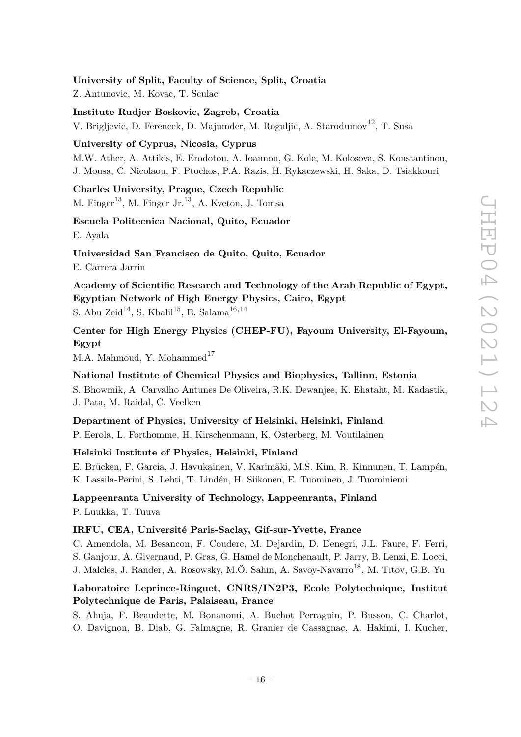### **University of Split, Faculty of Science, Split, Croatia**

Z. Antunovic, M. Kovac, T. Sculac

**Institute Rudjer Boskovic, Zagreb, Croatia** V. Brigljevic, D. Ferencek, D. Majumder, M. Roguljic, A. Starodumov<sup>12</sup>, T. Susa

# **University of Cyprus, Nicosia, Cyprus**

M.W. Ather, A. Attikis, E. Erodotou, A. Ioannou, G. Kole, M. Kolosova, S. Konstantinou, J. Mousa, C. Nicolaou, F. Ptochos, P.A. Razis, H. Rykaczewski, H. Saka, D. Tsiakkouri

**Charles University, Prague, Czech Republic** M. Finger<sup>13</sup>, M. Finger Jr.<sup>13</sup>, A. Kveton, J. Tomsa

# **Escuela Politecnica Nacional, Quito, Ecuador**

E. Ayala

**Universidad San Francisco de Quito, Quito, Ecuador**

E. Carrera Jarrin

**Academy of Scientific Research and Technology of the Arab Republic of Egypt, Egyptian Network of High Energy Physics, Cairo, Egypt** S. Abu Zeid<sup>14</sup>, S. Khalil<sup>15</sup>, E. Salama<sup>16,14</sup>

**Center for High Energy Physics (CHEP-FU), Fayoum University, El-Fayoum, Egypt**

M.A. Mahmoud, Y. Mohammed<sup>17</sup>

**National Institute of Chemical Physics and Biophysics, Tallinn, Estonia** S. Bhowmik, A. Carvalho Antunes De Oliveira, R.K. Dewanjee, K. Ehataht, M. Kadastik, J. Pata, M. Raidal, C. Veelken

**Department of Physics, University of Helsinki, Helsinki, Finland** P. Eerola, L. Forthomme, H. Kirschenmann, K. Osterberg, M. Voutilainen

### **Helsinki Institute of Physics, Helsinki, Finland**

E. Brücken, F. Garcia, J. Havukainen, V. Karimäki, M.S. Kim, R. Kinnunen, T. Lampén, K. Lassila-Perini, S. Lehti, T. Lindén, H. Siikonen, E. Tuominen, J. Tuominiemi

**Lappeenranta University of Technology, Lappeenranta, Finland** P. Luukka, T. Tuuva

### **IRFU, CEA, Université Paris-Saclay, Gif-sur-Yvette, France**

C. Amendola, M. Besancon, F. Couderc, M. Dejardin, D. Denegri, J.L. Faure, F. Ferri, S. Ganjour, A. Givernaud, P. Gras, G. Hamel de Monchenault, P. Jarry, B. Lenzi, E. Locci, J. Malcles, J. Rander, A. Rosowsky, M.Ö. Sahin, A. Savoy-Navarro<sup>18</sup>, M. Titov, G.B. Yu

# **Laboratoire Leprince-Ringuet, CNRS/IN2P3, Ecole Polytechnique, Institut Polytechnique de Paris, Palaiseau, France**

S. Ahuja, F. Beaudette, M. Bonanomi, A. Buchot Perraguin, P. Busson, C. Charlot, O. Davignon, B. Diab, G. Falmagne, R. Granier de Cassagnac, A. Hakimi, I. Kucher,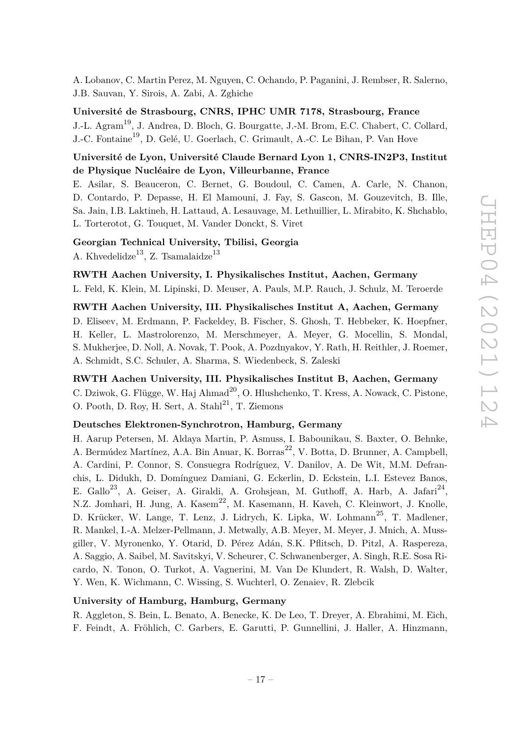A. Lobanov, C. Martin Perez, M. Nguyen, C. Ochando, P. Paganini, J. Rembser, R. Salerno, J.B. Sauvan, Y. Sirois, A. Zabi, A. Zghiche

# **Université de Strasbourg, CNRS, IPHC UMR 7178, Strasbourg, France**

J.-L. Agram<sup>19</sup>, J. Andrea, D. Bloch, G. Bourgatte, J.-M. Brom, E.C. Chabert, C. Collard, J.-C. Fontaine<sup>19</sup>, D. Gelé, U. Goerlach, C. Grimault, A.-C. Le Bihan, P. Van Hove

# **Université de Lyon, Université Claude Bernard Lyon 1, CNRS-IN2P3, Institut de Physique Nucléaire de Lyon, Villeurbanne, France**

E. Asilar, S. Beauceron, C. Bernet, G. Boudoul, C. Camen, A. Carle, N. Chanon, D. Contardo, P. Depasse, H. El Mamouni, J. Fay, S. Gascon, M. Gouzevitch, B. Ille, Sa. Jain, I.B. Laktineh, H. Lattaud, A. Lesauvage, M. Lethuillier, L. Mirabito, K. Shchablo, L. Torterotot, G. Touquet, M. Vander Donckt, S. Viret

#### **Georgian Technical University, Tbilisi, Georgia**

A. Khvedelidze<sup>13</sup>, Z. Tsamalaidze<sup>13</sup>

### **RWTH Aachen University, I. Physikalisches Institut, Aachen, Germany**

L. Feld, K. Klein, M. Lipinski, D. Meuser, A. Pauls, M.P. Rauch, J. Schulz, M. Teroerde

### **RWTH Aachen University, III. Physikalisches Institut A, Aachen, Germany**

D. Eliseev, M. Erdmann, P. Fackeldey, B. Fischer, S. Ghosh, T. Hebbeker, K. Hoepfner, H. Keller, L. Mastrolorenzo, M. Merschmeyer, A. Meyer, G. Mocellin, S. Mondal, S. Mukherjee, D. Noll, A. Novak, T. Pook, A. Pozdnyakov, Y. Rath, H. Reithler, J. Roemer, A. Schmidt, S.C. Schuler, A. Sharma, S. Wiedenbeck, S. Zaleski

### **RWTH Aachen University, III. Physikalisches Institut B, Aachen, Germany**

C. Dziwok, G. Flügge, W. Haj Ahmad<sup>20</sup>, O. Hlushchenko, T. Kress, A. Nowack, C. Pistone, O. Pooth, D. Roy, H. Sert, A. Stahl<sup>21</sup>, T. Ziemons

# **Deutsches Elektronen-Synchrotron, Hamburg, Germany**

H. Aarup Petersen, M. Aldaya Martin, P. Asmuss, I. Babounikau, S. Baxter, O. Behnke, A. Bermúdez Martínez, A.A. Bin Anuar, K. Borras<sup>22</sup>, V. Botta, D. Brunner, A. Campbell, A. Cardini, P. Connor, S. Consuegra Rodríguez, V. Danilov, A. De Wit, M.M. Defranchis, L. Didukh, D. Domínguez Damiani, G. Eckerlin, D. Eckstein, L.I. Estevez Banos, E. Gallo<sup>23</sup>, A. Geiser, A. Giraldi, A. Grohsjean, M. Guthoff, A. Harb, A. Jafari<sup>24</sup>, N.Z. Jomhari, H. Jung, A. Kasem<sup>22</sup>, M. Kasemann, H. Kaveh, C. Kleinwort, J. Knolle, D. Krücker, W. Lange, T. Lenz, J. Lidrych, K. Lipka, W. Lohmann<sup>25</sup>, T. Madlener, R. Mankel, I.-A. Melzer-Pellmann, J. Metwally, A.B. Meyer, M. Meyer, J. Mnich, A. Mussgiller, V. Myronenko, Y. Otarid, D. Pérez Adán, S.K. Pflitsch, D. Pitzl, A. Raspereza, A. Saggio, A. Saibel, M. Savitskyi, V. Scheurer, C. Schwanenberger, A. Singh, R.E. Sosa Ricardo, N. Tonon, O. Turkot, A. Vagnerini, M. Van De Klundert, R. Walsh, D. Walter, Y. Wen, K. Wichmann, C. Wissing, S. Wuchterl, O. Zenaiev, R. Zlebcik

### **University of Hamburg, Hamburg, Germany**

R. Aggleton, S. Bein, L. Benato, A. Benecke, K. De Leo, T. Dreyer, A. Ebrahimi, M. Eich, F. Feindt, A. Fröhlich, C. Garbers, E. Garutti, P. Gunnellini, J. Haller, A. Hinzmann,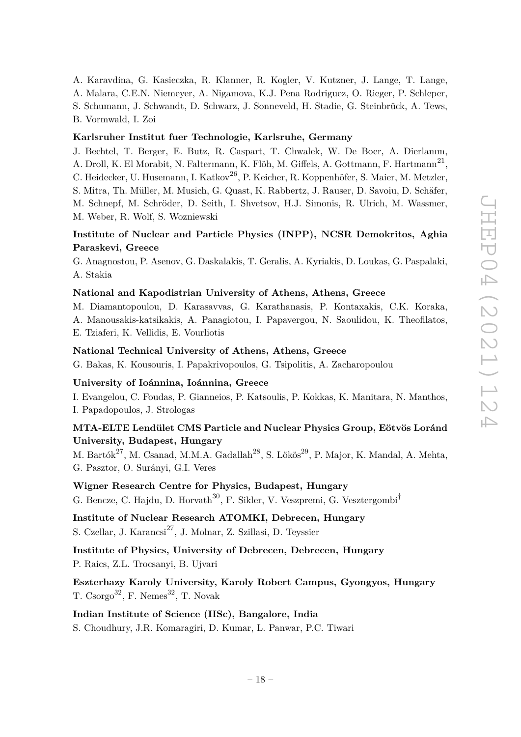A. Karavdina, G. Kasieczka, R. Klanner, R. Kogler, V. Kutzner, J. Lange, T. Lange, A. Malara, C.E.N. Niemeyer, A. Nigamova, K.J. Pena Rodriguez, O. Rieger, P. Schleper, S. Schumann, J. Schwandt, D. Schwarz, J. Sonneveld, H. Stadie, G. Steinbrück, A. Tews, B. Vormwald, I. Zoi

#### **Karlsruher Institut fuer Technologie, Karlsruhe, Germany**

J. Bechtel, T. Berger, E. Butz, R. Caspart, T. Chwalek, W. De Boer, A. Dierlamm, A. Droll, K. El Morabit, N. Faltermann, K. Flöh, M. Giffels, A. Gottmann, F. Hartmann<sup>21</sup>, C. Heidecker, U. Husemann, I. Katkov<sup>26</sup>, P. Keicher, R. Koppenhöfer, S. Maier, M. Metzler, S. Mitra, Th. Müller, M. Musich, G. Quast, K. Rabbertz, J. Rauser, D. Savoiu, D. Schäfer, M. Schnepf, M. Schröder, D. Seith, I. Shvetsov, H.J. Simonis, R. Ulrich, M. Wassmer, M. Weber, R. Wolf, S. Wozniewski

# **Institute of Nuclear and Particle Physics (INPP), NCSR Demokritos, Aghia Paraskevi, Greece**

G. Anagnostou, P. Asenov, G. Daskalakis, T. Geralis, A. Kyriakis, D. Loukas, G. Paspalaki, A. Stakia

### **National and Kapodistrian University of Athens, Athens, Greece**

M. Diamantopoulou, D. Karasavvas, G. Karathanasis, P. Kontaxakis, C.K. Koraka, A. Manousakis-katsikakis, A. Panagiotou, I. Papavergou, N. Saoulidou, K. Theofilatos, E. Tziaferi, K. Vellidis, E. Vourliotis

#### **National Technical University of Athens, Athens, Greece**

G. Bakas, K. Kousouris, I. Papakrivopoulos, G. Tsipolitis, A. Zacharopoulou

### **University of Ioánnina, Ioánnina, Greece**

I. Evangelou, C. Foudas, P. Gianneios, P. Katsoulis, P. Kokkas, K. Manitara, N. Manthos, I. Papadopoulos, J. Strologas

# **MTA-ELTE Lendület CMS Particle and Nuclear Physics Group, Eötvös Loránd University, Budapest, Hungary**

M. Bartók<sup>27</sup>, M. Csanad, M.M.A. Gadallah<sup>28</sup>, S. Lökös<sup>29</sup>, P. Major, K. Mandal, A. Mehta, G. Pasztor, O. Surányi, G.I. Veres

# **Wigner Research Centre for Physics, Budapest, Hungary**

G. Bencze, C. Hajdu, D. Horvath<sup>30</sup>, F. Sikler, V. Veszpremi, G. Vesztergombi<sup>†</sup>

**Institute of Nuclear Research ATOMKI, Debrecen, Hungary** S. Czellar, J. Karancsi<sup>27</sup>, J. Molnar, Z. Szillasi, D. Teyssier

**Institute of Physics, University of Debrecen, Debrecen, Hungary** P. Raics, Z.L. Trocsanyi, B. Ujvari

**Eszterhazy Karoly University, Karoly Robert Campus, Gyongyos, Hungary** T.  $Csorgo<sup>32</sup>$ , F. Nemes<sup>32</sup>, T. Novak

### **Indian Institute of Science (IISc), Bangalore, India**

S. Choudhury, J.R. Komaragiri, D. Kumar, L. Panwar, P.C. Tiwari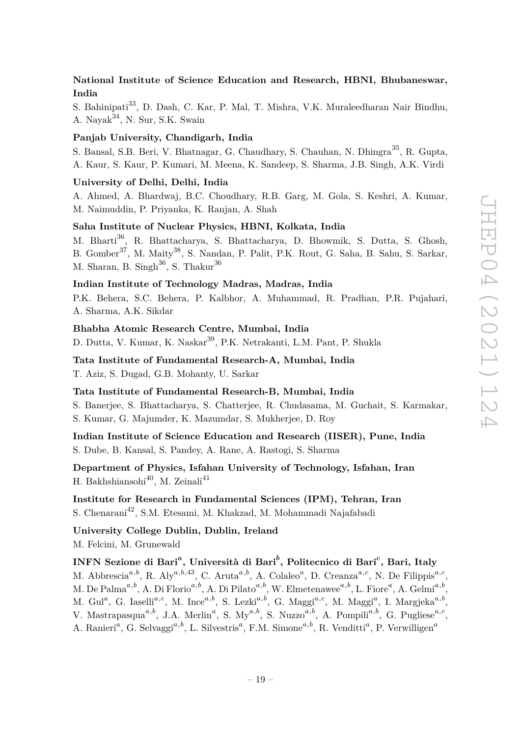# **National Institute of Science Education and Research, HBNI, Bhubaneswar, India**

S. Bahinipati<sup>33</sup>, D. Dash, C. Kar, P. Mal, T. Mishra, V.K. Muraleedharan Nair Bindhu, A. Nayak<sup>34</sup>, N. Sur, S.K. Swain

### **Panjab University, Chandigarh, India**

S. Bansal, S.B. Beri, V. Bhatnagar, G. Chaudhary, S. Chauhan, N. Dhingra<sup>35</sup>, R. Gupta, A. Kaur, S. Kaur, P. Kumari, M. Meena, K. Sandeep, S. Sharma, J.B. Singh, A.K. Virdi

#### **University of Delhi, Delhi, India**

A. Ahmed, A. Bhardwaj, B.C. Choudhary, R.B. Garg, M. Gola, S. Keshri, A. Kumar, M. Naimuddin, P. Priyanka, K. Ranjan, A. Shah

### **Saha Institute of Nuclear Physics, HBNI, Kolkata, India**

M. Bharti36, R. Bhattacharya, S. Bhattacharya, D. Bhowmik, S. Dutta, S. Ghosh, B. Gomber<sup>37</sup>, M. Maity<sup>38</sup>, S. Nandan, P. Palit, P.K. Rout, G. Saha, B. Sahu, S. Sarkar, M. Sharan, B. Singh<sup>36</sup>, S. Thakur<sup>36</sup>

# **Indian Institute of Technology Madras, Madras, India**

P.K. Behera, S.C. Behera, P. Kalbhor, A. Muhammad, R. Pradhan, P.R. Pujahari, A. Sharma, A.K. Sikdar

### **Bhabha Atomic Research Centre, Mumbai, India**

D. Dutta, V. Kumar, K. Naskar<sup>39</sup>, P.K. Netrakanti, L.M. Pant, P. Shukla

### **Tata Institute of Fundamental Research-A, Mumbai, India**

T. Aziz, S. Dugad, G.B. Mohanty, U. Sarkar

#### **Tata Institute of Fundamental Research-B, Mumbai, India**

S. Banerjee, S. Bhattacharya, S. Chatterjee, R. Chudasama, M. Guchait, S. Karmakar,

S. Kumar, G. Majumder, K. Mazumdar, S. Mukherjee, D. Roy

### **Indian Institute of Science Education and Research (IISER), Pune, India**

S. Dube, B. Kansal, S. Pandey, A. Rane, A. Rastogi, S. Sharma

**Department of Physics, Isfahan University of Technology, Isfahan, Iran** H. Bakhshiansohi $^{40}$ , M. Zeinali $^{41}$ 

### **Institute for Research in Fundamental Sciences (IPM), Tehran, Iran**

S. Chenarani42, S.M. Etesami, M. Khakzad, M. Mohammadi Najafabadi

### **University College Dublin, Dublin, Ireland**

M. Felcini, M. Grunewald

# **INFN Sezione di Bari***<sup>a</sup>* **, Università di Bari***<sup>b</sup>* **, Politecnico di Bari***<sup>c</sup>* **, Bari, Italy**

M. Abbrescia*a,b*, R. Aly*a,b,*43, C. Aruta*a,b*, A. Colaleo*<sup>a</sup>* , D. Creanza*a,c*, N. De Filippis*a,c* , M. De Palma*a,b*, A. Di Florio*a,b*, A. Di Pilato*a,b*, W. Elmetenawee*a,b*, L. Fiore*<sup>a</sup>* , A. Gelmi*a,b* , M. Gul*<sup>a</sup>* , G. Iaselli*a,c*, M. Ince*a,b*, S. Lezki*a,b*, G. Maggi*a,c*, M. Maggi*<sup>a</sup>* , I. Margjeka*a,b* , V. Mastrapasqua<sup>*a*,*b*</sup>, J.A. Merlin<sup>*a*</sup>, S. My<sup>*a*,*b*</sup>, S. Nuzzo<sup>*a*,*b*</sup>, A. Pompili<sup>*a*,*b*</sup>, G. Pugliese<sup>*a*,*c*</sup>, A. Ranieri*<sup>a</sup>* , G. Selvaggi*a,b*, L. Silvestris*<sup>a</sup>* , F.M. Simone*a,b*, R. Venditti*<sup>a</sup>* , P. Verwilligen*<sup>a</sup>*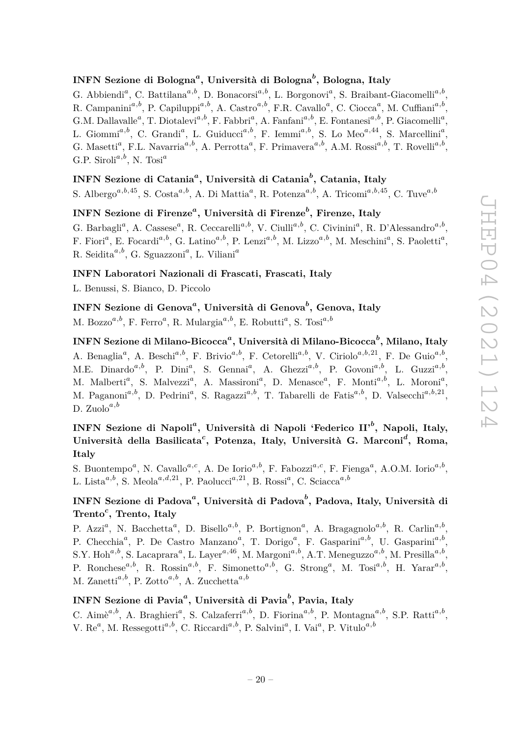# **INFN Sezione di Bologna***<sup>a</sup>* **, Università di Bologna***<sup>b</sup>* **, Bologna, Italy**

G. Abbiendi<sup>a</sup>, C. Battilana<sup>*a,b*</sup>, D. Bonacorsi<sup>*a,b*</sup>, L. Borgonovi<sup>a</sup>, S. Braibant-Giacomelli<sup>*a,b*</sup>, R. Campanini<sup>a,b</sup>, P. Capiluppi<sup>a,b</sup>, A. Castro<sup>a,b</sup>, F.R. Cavallo<sup>a</sup>, C. Ciocca<sup>a</sup>, M. Cuffiani<sup>a,b</sup>, G.M. Dallavalle<sup>a</sup>, T. Diotalevi<sup>a,b</sup>, F. Fabbri<sup>a</sup>, A. Fanfani<sup>a,b</sup>, E. Fontanesi<sup>a,b</sup>, P. Giacomelli<sup>a</sup>, L. Giommi<sup>a,b</sup>, C. Grandi<sup>a</sup>, L. Guiducci<sup>a,b</sup>, F. Iemmi<sup>a,b</sup>, S. Lo Meo<sup>a,44</sup>, S. Marcellini<sup>a</sup>, G. Masetti<sup>a</sup>, F.L. Navarria<sup>a,b</sup>, A. Perrotta<sup>a</sup>, F. Primavera<sup>a,b</sup>, A.M. Rossi<sup>a,b</sup>, T. Rovelli<sup>a,b</sup>, G.P. Siroli*a,b*, N. Tosi*<sup>a</sup>*

# **INFN Sezione di Catania***<sup>a</sup>* **, Università di Catania***<sup>b</sup>* **, Catania, Italy**

S. Albergo*a,b,*45, S. Costa*a,b*, A. Di Mattia*<sup>a</sup>* , R. Potenza*a,b*, A. Tricomi*a,b,*45, C. Tuve*a,b*

# **INFN Sezione di Firenze***<sup>a</sup>* **, Università di Firenze***<sup>b</sup>* **, Firenze, Italy**

G. Barbagli<sup>a</sup>, A. Cassese<sup>a</sup>, R. Ceccarelli<sup>a,b</sup>, V. Ciulli<sup>a,b</sup>, C. Civinini<sup>a</sup>, R. D'Alessandro<sup>a,b</sup>, F. Fiori<sup>a</sup>, E. Focardi<sup>a,b</sup>, G. Latino<sup>a,b</sup>, P. Lenzi<sup>a,b</sup>, M. Lizzo<sup>a,b</sup>, M. Meschini<sup>a</sup>, S. Paoletti<sup>a</sup>, R. Seidita*a,b*, G. Sguazzoni*<sup>a</sup>* , L. Viliani*<sup>a</sup>*

### **INFN Laboratori Nazionali di Frascati, Frascati, Italy**

L. Benussi, S. Bianco, D. Piccolo

# **INFN Sezione di Genova***<sup>a</sup>* **, Università di Genova***<sup>b</sup>* **, Genova, Italy**

M. Bozzo*a,b*, F. Ferro*<sup>a</sup>* , R. Mulargia*a,b*, E. Robutti*<sup>a</sup>* , S. Tosi*a,b*

**INFN Sezione di Milano-Bicocca***<sup>a</sup>* **, Università di Milano-Bicocca***<sup>b</sup>* **, Milano, Italy** A. Benaglia<sup>a</sup>, A. Beschi<sup>a,b</sup>, F. Brivio<sup>a,b</sup>, F. Cetorelli<sup>a,b</sup>, V. Ciriolo<sup>a,b,21</sup>, F. De Guio<sup>a,b</sup>, M.E. Dinardo*a,b*, P. Dini*<sup>a</sup>* , S. Gennai*<sup>a</sup>* , A. Ghezzi*a,b*, P. Govoni*a,b*, L. Guzzi*a,b* , M. Malberti<sup>a</sup>, S. Malvezzi<sup>a</sup>, A. Massironi<sup>a</sup>, D. Menasce<sup>a</sup>, F. Monti<sup>a,b</sup>, L. Moroni<sup>a</sup>, M. Paganoni<sup>a,b</sup>, D. Pedrini<sup>a</sup>, S. Ragazzi<sup>a,b</sup>, T. Tabarelli de Fatis<sup>a,b</sup>, D. Valsecchi<sup>a,b,21</sup>, D. Zuolo*a,b*

# **INFN Sezione di Napoli***<sup>a</sup>* **, Università di Napoli 'Federico II'***<sup>b</sup>* **, Napoli, Italy, Università della Basilicata***<sup>c</sup>* **, Potenza, Italy, Università G. Marconi***<sup>d</sup>* **, Roma, Italy**

S. Buontempo<sup>a</sup>, N. Cavallo<sup>a,c</sup>, A. De Iorio<sup>a,b</sup>, F. Fabozzi<sup>a,c</sup>, F. Fienga<sup>a</sup>, A.O.M. Iorio<sup>a,b</sup>, L. Lista*a,b*, S. Meola*a,d,*21, P. Paolucci*a,*21, B. Rossi*<sup>a</sup>* , C. Sciacca*a,b*

# **INFN Sezione di Padova***<sup>a</sup>* **, Università di Padova***<sup>b</sup>* **, Padova, Italy, Università di Trento***<sup>c</sup>* **, Trento, Italy**

P. Azzi<sup>a</sup>, N. Bacchetta<sup>a</sup>, D. Bisello<sup>a,b</sup>, P. Bortignon<sup>a</sup>, A. Bragagnolo<sup>a,b</sup>, R. Carlin<sup>a,b</sup>, P. Checchia<sup>a</sup>, P. De Castro Manzano<sup>a</sup>, T. Dorigo<sup>a</sup>, F. Gasparini<sup>a,b</sup>, U. Gasparini<sup>a,b</sup>, S.Y. Hoh*a,b*, S. Lacaprara*<sup>a</sup>* , L. Layer*a,*46, M. Margoni*a,b*, A.T. Meneguzzo*a,b*, M. Presilla*a,b* , P. Ronchese<sup>a,b</sup>, R. Rossin<sup>a,b</sup>, F. Simonetto<sup>a,b</sup>, G. Strong<sup>a</sup>, M. Tosi<sup>a,b</sup>, H. Yarar<sup>a,b</sup>, M. Zanetti*a,b*, P. Zotto*a,b*, A. Zucchetta*a,b*

# **INFN Sezione di Pavia***<sup>a</sup>* **, Università di Pavia***<sup>b</sup>* **, Pavia, Italy**

C. Aimè<sup>a,b</sup>, A. Braghieri<sup>a</sup>, S. Calzaferri<sup>a,b</sup>, D. Fiorina<sup>a,b</sup>, P. Montagna<sup>a,b</sup>, S.P. Ratti<sup>a,b</sup>, V. Re*<sup>a</sup>* , M. Ressegotti*a,b*, C. Riccardi*a,b*, P. Salvini*<sup>a</sup>* , I. Vai*<sup>a</sup>* , P. Vitulo*a,b*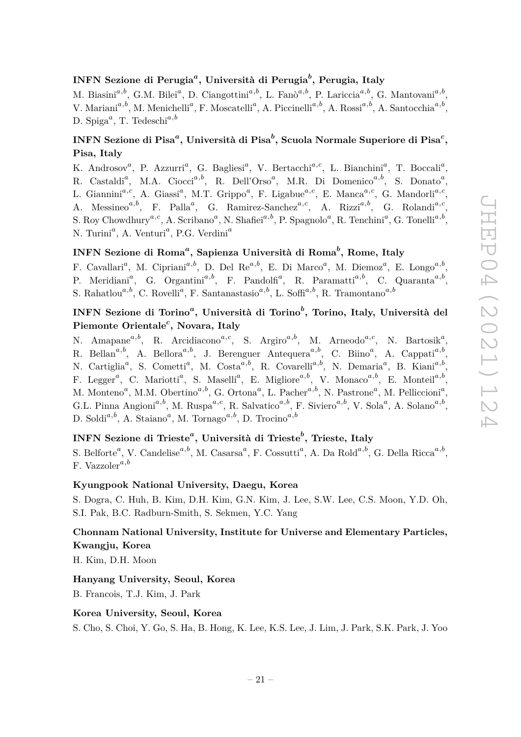# **INFN Sezione di Perugia***<sup>a</sup>* **, Università di Perugia***<sup>b</sup>* **, Perugia, Italy**

M. Biasini*a,b*, G.M. Bilei*<sup>a</sup>* , D. Ciangottini*a,b*, L. Fanò*a,b*, P. Lariccia*a,b*, G. Mantovani*a,b* , V. Mariani<sup>a,b</sup>, M. Menichelli<sup>a</sup>, F. Moscatelli<sup>a</sup>, A. Piccinelli<sup>a,b</sup>, A. Rossi<sup>a,b</sup>, A. Santocchia<sup>a,b</sup>, D. Spiga<sup>*a*</sup>, T. Tedeschi<sup>*a*,*b*</sup>

# **INFN Sezione di Pisa***<sup>a</sup>* **, Università di Pisa***<sup>b</sup>* **, Scuola Normale Superiore di Pisa***<sup>c</sup>* **, Pisa, Italy**

K. Androsov<sup>a</sup>, P. Azzurri<sup>a</sup>, G. Bagliesi<sup>a</sup>, V. Bertacchi<sup>a,c</sup>, L. Bianchini<sup>a</sup>, T. Boccali<sup>a</sup>, R. Castaldi<sup>a</sup>, M.A. Ciocci<sup>a,b</sup>, R. Dell'Orso<sup>a</sup>, M.R. Di Domenico<sup>a,b</sup>, S. Donato<sup>a</sup>, L. Giannini<sup>a,c</sup>, A. Giassi<sup>a</sup>, M.T. Grippo<sup>a</sup>, F. Ligabue<sup>a,c</sup>, E. Manca<sup>a,c</sup>, G. Mandorli<sup>a,c</sup>, A. Messineo*a,b*, F. Palla*<sup>a</sup>* , G. Ramirez-Sanchez*a,c*, A. Rizzi*a,b*, G. Rolandi*a,c* , S. Roy Chowdhury<sup>a,c</sup>, A. Scribano<sup>a</sup>, N. Shafiei<sup>a,b</sup>, P. Spagnolo<sup>a</sup>, R. Tenchini<sup>a</sup>, G. Tonelli<sup>a,b</sup>, N. Turini*<sup>a</sup>* , A. Venturi*<sup>a</sup>* , P.G. Verdini*<sup>a</sup>*

# **INFN Sezione di Roma***<sup>a</sup>* **, Sapienza Università di Roma***<sup>b</sup>* **, Rome, Italy**

F. Cavallari<sup>a</sup>, M. Cipriani<sup>a,b</sup>, D. Del Re<sup>a,b</sup>, E. Di Marco<sup>a</sup>, M. Diemoz<sup>a</sup>, E. Longo<sup>a,b</sup>, P. Meridiani<sup>a</sup>, G. Organtini<sup>a,b</sup>, F. Pandolfi<sup>a</sup>, R. Paramatti<sup>a,b</sup>, C. Quaranta<sup>a,b</sup>, S. Rahatlou*a,b*, C. Rovelli*<sup>a</sup>* , F. Santanastasio*a,b*, L. Soffi*a,b*, R. Tramontano*a,b*

# **INFN Sezione di Torino***<sup>a</sup>* **, Università di Torino***<sup>b</sup>* **, Torino, Italy, Università del Piemonte Orientale***<sup>c</sup>* **, Novara, Italy**

N. Amapane*a,b*, R. Arcidiacono*a,c*, S. Argiro*a,b*, M. Arneodo*a,c*, N. Bartosik*<sup>a</sup>* , R. Bellan*a,b*, A. Bellora*a,b*, J. Berenguer Antequera*a,b*, C. Biino*<sup>a</sup>* , A. Cappati*a,b* , N. Cartiglia<sup>a</sup>, S. Cometti<sup>a</sup>, M. Costa<sup>a,b</sup>, R. Covarelli<sup>a,b</sup>, N. Demaria<sup>a</sup>, B. Kiani<sup>a,b</sup>, F. Legger<sup>a</sup>, C. Mariotti<sup>a</sup>, S. Maselli<sup>a</sup>, E. Migliore<sup>a,b</sup>, V. Monaco<sup>a,b</sup>, E. Monteil<sup>a,b</sup>, M. Monteno<sup>a</sup>, M.M. Obertino<sup>a,b</sup>, G. Ortona<sup>a</sup>, L. Pacher<sup>a,b</sup>, N. Pastrone<sup>a</sup>, M. Pelliccioni<sup>a</sup>, G.L. Pinna Angioni*a,b*, M. Ruspa*a,c*, R. Salvatico*a,b*, F. Siviero*a,b*, V. Sola*<sup>a</sup>* , A. Solano*a,b* , D. Soldi*a,b*, A. Staiano*<sup>a</sup>* , M. Tornago*a,b*, D. Trocino*a,b*

# **INFN Sezione di Trieste***<sup>a</sup>* **, Università di Trieste***<sup>b</sup>* **, Trieste, Italy**

S. Belforte<sup>a</sup>, V. Candelise<sup>a,b</sup>, M. Casarsa<sup>a</sup>, F. Cossutti<sup>a</sup>, A. Da Rold<sup>a,b</sup>, G. Della Ricca<sup>a,b</sup>, F. Vazzoler*a,b*

# **Kyungpook National University, Daegu, Korea**

S. Dogra, C. Huh, B. Kim, D.H. Kim, G.N. Kim, J. Lee, S.W. Lee, C.S. Moon, Y.D. Oh, S.I. Pak, B.C. Radburn-Smith, S. Sekmen, Y.C. Yang

# **Chonnam National University, Institute for Universe and Elementary Particles, Kwangju, Korea**

H. Kim, D.H. Moon

### **Hanyang University, Seoul, Korea**

B. Francois, T.J. Kim, J. Park

#### **Korea University, Seoul, Korea**

S. Cho, S. Choi, Y. Go, S. Ha, B. Hong, K. Lee, K.S. Lee, J. Lim, J. Park, S.K. Park, J. Yoo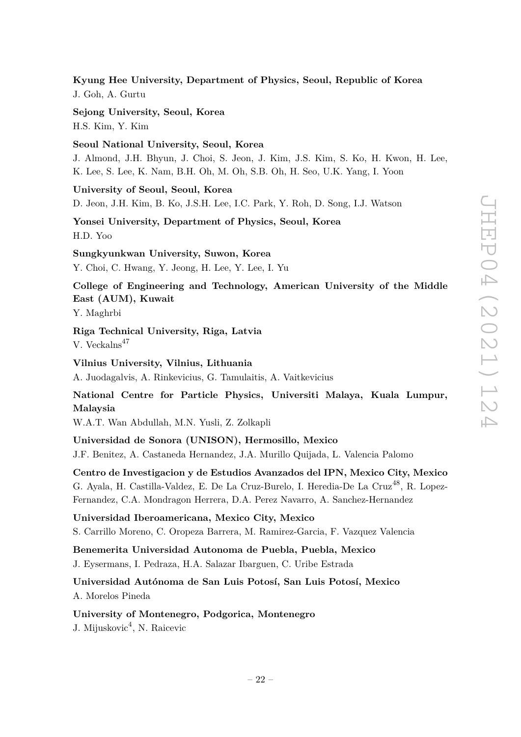# **Kyung Hee University, Department of Physics, Seoul, Republic of Korea** J. Goh, A. Gurtu

**Sejong University, Seoul, Korea** H.S. Kim, Y. Kim

### **Seoul National University, Seoul, Korea**

J. Almond, J.H. Bhyun, J. Choi, S. Jeon, J. Kim, J.S. Kim, S. Ko, H. Kwon, H. Lee, K. Lee, S. Lee, K. Nam, B.H. Oh, M. Oh, S.B. Oh, H. Seo, U.K. Yang, I. Yoon

**University of Seoul, Seoul, Korea**

D. Jeon, J.H. Kim, B. Ko, J.S.H. Lee, I.C. Park, Y. Roh, D. Song, I.J. Watson

**Yonsei University, Department of Physics, Seoul, Korea** H.D. Yoo

**Sungkyunkwan University, Suwon, Korea** Y. Choi, C. Hwang, Y. Jeong, H. Lee, Y. Lee, I. Yu

**College of Engineering and Technology, American University of the Middle East (AUM), Kuwait**

Y. Maghrbi

**Riga Technical University, Riga, Latvia** V. Veckalns $47$ 

**Vilnius University, Vilnius, Lithuania** A. Juodagalvis, A. Rinkevicius, G. Tamulaitis, A. Vaitkevicius

**National Centre for Particle Physics, Universiti Malaya, Kuala Lumpur, Malaysia**

W.A.T. Wan Abdullah, M.N. Yusli, Z. Zolkapli

**Universidad de Sonora (UNISON), Hermosillo, Mexico** J.F. Benitez, A. Castaneda Hernandez, J.A. Murillo Quijada, L. Valencia Palomo

**Centro de Investigacion y de Estudios Avanzados del IPN, Mexico City, Mexico** G. Ayala, H. Castilla-Valdez, E. De La Cruz-Burelo, I. Heredia-De La Cruz<sup>48</sup>, R. Lopez-Fernandez, C.A. Mondragon Herrera, D.A. Perez Navarro, A. Sanchez-Hernandez

**Universidad Iberoamericana, Mexico City, Mexico** S. Carrillo Moreno, C. Oropeza Barrera, M. Ramirez-Garcia, F. Vazquez Valencia

**Benemerita Universidad Autonoma de Puebla, Puebla, Mexico** J. Eysermans, I. Pedraza, H.A. Salazar Ibarguen, C. Uribe Estrada

# **Universidad Autónoma de San Luis Potosí, San Luis Potosí, Mexico** A. Morelos Pineda

**University of Montenegro, Podgorica, Montenegro**

J. Mijuskovic<sup>4</sup>, N. Raicevic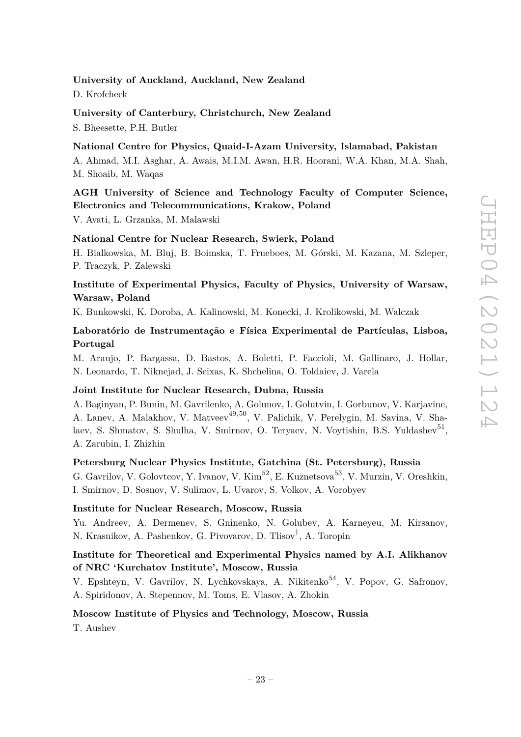### **University of Auckland, Auckland, New Zealand**

D. Krofcheck

**University of Canterbury, Christchurch, New Zealand** S. Bheesette, P.H. Butler

#### **National Centre for Physics, Quaid-I-Azam University, Islamabad, Pakistan**

A. Ahmad, M.I. Asghar, A. Awais, M.I.M. Awan, H.R. Hoorani, W.A. Khan, M.A. Shah, M. Shoaib, M. Waqas

# **AGH University of Science and Technology Faculty of Computer Science, Electronics and Telecommunications, Krakow, Poland**

V. Avati, L. Grzanka, M. Malawski

### **National Centre for Nuclear Research, Swierk, Poland**

H. Bialkowska, M. Bluj, B. Boimska, T. Frueboes, M. Górski, M. Kazana, M. Szleper, P. Traczyk, P. Zalewski

# **Institute of Experimental Physics, Faculty of Physics, University of Warsaw, Warsaw, Poland**

K. Bunkowski, K. Doroba, A. Kalinowski, M. Konecki, J. Krolikowski, M. Walczak

# **Laboratório de Instrumentação e Física Experimental de Partículas, Lisboa, Portugal**

M. Araujo, P. Bargassa, D. Bastos, A. Boletti, P. Faccioli, M. Gallinaro, J. Hollar, N. Leonardo, T. Niknejad, J. Seixas, K. Shchelina, O. Toldaiev, J. Varela

### **Joint Institute for Nuclear Research, Dubna, Russia**

A. Baginyan, P. Bunin, M. Gavrilenko, A. Golunov, I. Golutvin, I. Gorbunov, V. Karjavine, A. Lanev, A. Malakhov, V. Matveev<sup>49,50</sup>, V. Palichik, V. Perelygin, M. Savina, V. Shalaev, S. Shmatov, S. Shulha, V. Smirnov, O. Teryaev, N. Voytishin, B.S. Yuldashev<sup>51</sup>, A. Zarubin, I. Zhizhin

### **Petersburg Nuclear Physics Institute, Gatchina (St. Petersburg), Russia**

G. Gavrilov, V. Golovtcov, Y. Ivanov, V. Kim<sup>52</sup>, E. Kuznetsova<sup>53</sup>, V. Murzin, V. Oreshkin, I. Smirnov, D. Sosnov, V. Sulimov, L. Uvarov, S. Volkov, A. Vorobyev

#### **Institute for Nuclear Research, Moscow, Russia**

Yu. Andreev, A. Dermenev, S. Gninenko, N. Golubev, A. Karneyeu, M. Kirsanov, N. Krasnikov, A. Pashenkov, G. Pivovarov, D. Tlisov† , A. Toropin

### **Institute for Theoretical and Experimental Physics named by A.I. Alikhanov of NRC 'Kurchatov Institute', Moscow, Russia**

V. Epshteyn, V. Gavrilov, N. Lychkovskaya, A. Nikitenko<sup>54</sup>, V. Popov, G. Safronov, A. Spiridonov, A. Stepennov, M. Toms, E. Vlasov, A. Zhokin

#### **Moscow Institute of Physics and Technology, Moscow, Russia**

T. Aushev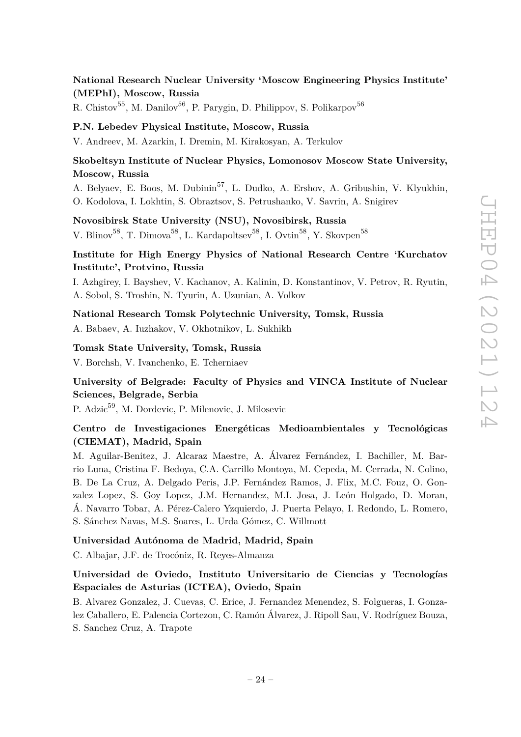# **National Research Nuclear University 'Moscow Engineering Physics Institute' (MEPhI), Moscow, Russia**

R. Chistov<sup>55</sup>, M. Danilov<sup>56</sup>, P. Parygin, D. Philippov, S. Polikarpov<sup>56</sup>

### **P.N. Lebedev Physical Institute, Moscow, Russia**

V. Andreev, M. Azarkin, I. Dremin, M. Kirakosyan, A. Terkulov

# **Skobeltsyn Institute of Nuclear Physics, Lomonosov Moscow State University, Moscow, Russia**

A. Belyaev, E. Boos, M. Dubinin<sup>57</sup>, L. Dudko, A. Ershov, A. Gribushin, V. Klyukhin, O. Kodolova, I. Lokhtin, S. Obraztsov, S. Petrushanko, V. Savrin, A. Snigirev

### **Novosibirsk State University (NSU), Novosibirsk, Russia**

V. Blinov<sup>58</sup>, T. Dimova<sup>58</sup>, L. Kardapoltsev<sup>58</sup>, I. Ovtin<sup>58</sup>, Y. Skovpen<sup>58</sup>

# **Institute for High Energy Physics of National Research Centre 'Kurchatov Institute', Protvino, Russia**

I. Azhgirey, I. Bayshev, V. Kachanov, A. Kalinin, D. Konstantinov, V. Petrov, R. Ryutin, A. Sobol, S. Troshin, N. Tyurin, A. Uzunian, A. Volkov

### **National Research Tomsk Polytechnic University, Tomsk, Russia**

A. Babaev, A. Iuzhakov, V. Okhotnikov, L. Sukhikh

#### **Tomsk State University, Tomsk, Russia**

V. Borchsh, V. Ivanchenko, E. Tcherniaev

# **University of Belgrade: Faculty of Physics and VINCA Institute of Nuclear Sciences, Belgrade, Serbia**

P. Adzic<sup>59</sup>, M. Dordevic, P. Milenovic, J. Milosevic

# **Centro de Investigaciones Energéticas Medioambientales y Tecnológicas (CIEMAT), Madrid, Spain**

M. Aguilar-Benitez, J. Alcaraz Maestre, A. Álvarez Fernández, I. Bachiller, M. Barrio Luna, Cristina F. Bedoya, C.A. Carrillo Montoya, M. Cepeda, M. Cerrada, N. Colino, B. De La Cruz, A. Delgado Peris, J.P. Fernández Ramos, J. Flix, M.C. Fouz, O. Gonzalez Lopez, S. Goy Lopez, J.M. Hernandez, M.I. Josa, J. León Holgado, D. Moran, Á. Navarro Tobar, A. Pérez-Calero Yzquierdo, J. Puerta Pelayo, I. Redondo, L. Romero, S. Sánchez Navas, M.S. Soares, L. Urda Gómez, C. Willmott

### **Universidad Autónoma de Madrid, Madrid, Spain**

C. Albajar, J.F. de Trocóniz, R. Reyes-Almanza

# **Universidad de Oviedo, Instituto Universitario de Ciencias y Tecnologías Espaciales de Asturias (ICTEA), Oviedo, Spain**

B. Alvarez Gonzalez, J. Cuevas, C. Erice, J. Fernandez Menendez, S. Folgueras, I. Gonzalez Caballero, E. Palencia Cortezon, C. Ramón Álvarez, J. Ripoll Sau, V. Rodríguez Bouza, S. Sanchez Cruz, A. Trapote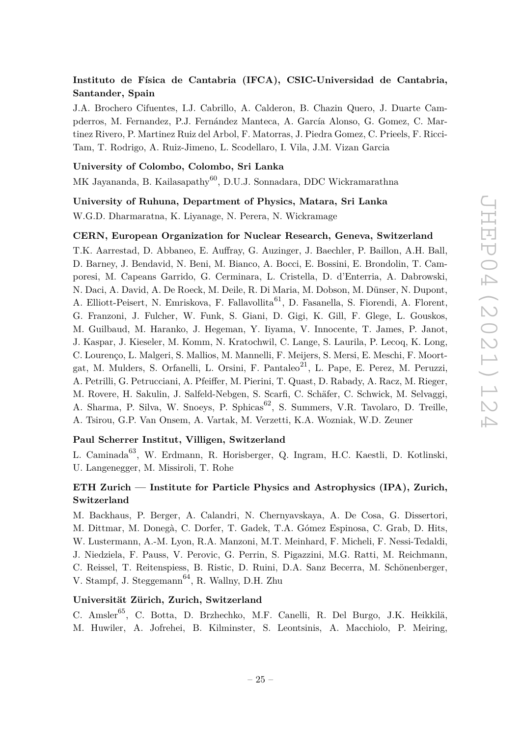# **Instituto de Física de Cantabria (IFCA), CSIC-Universidad de Cantabria, Santander, Spain**

J.A. Brochero Cifuentes, I.J. Cabrillo, A. Calderon, B. Chazin Quero, J. Duarte Campderros, M. Fernandez, P.J. Fernández Manteca, A. García Alonso, G. Gomez, C. Martinez Rivero, P. Martinez Ruiz del Arbol, F. Matorras, J. Piedra Gomez, C. Prieels, F. Ricci-Tam, T. Rodrigo, A. Ruiz-Jimeno, L. Scodellaro, I. Vila, J.M. Vizan Garcia

### **University of Colombo, Colombo, Sri Lanka**

MK Jayananda, B. Kailasapathy<sup>60</sup>, D.U.J. Sonnadara, DDC Wickramarathna

#### **University of Ruhuna, Department of Physics, Matara, Sri Lanka**

W.G.D. Dharmaratna, K. Liyanage, N. Perera, N. Wickramage

### **CERN, European Organization for Nuclear Research, Geneva, Switzerland**

T.K. Aarrestad, D. Abbaneo, E. Auffray, G. Auzinger, J. Baechler, P. Baillon, A.H. Ball, D. Barney, J. Bendavid, N. Beni, M. Bianco, A. Bocci, E. Bossini, E. Brondolin, T. Camporesi, M. Capeans Garrido, G. Cerminara, L. Cristella, D. d'Enterria, A. Dabrowski, N. Daci, A. David, A. De Roeck, M. Deile, R. Di Maria, M. Dobson, M. Dünser, N. Dupont, A. Elliott-Peisert, N. Emriskova, F. Fallavollita<sup>61</sup>, D. Fasanella, S. Fiorendi, A. Florent, G. Franzoni, J. Fulcher, W. Funk, S. Giani, D. Gigi, K. Gill, F. Glege, L. Gouskos, M. Guilbaud, M. Haranko, J. Hegeman, Y. Iiyama, V. Innocente, T. James, P. Janot, J. Kaspar, J. Kieseler, M. Komm, N. Kratochwil, C. Lange, S. Laurila, P. Lecoq, K. Long, C. Lourenço, L. Malgeri, S. Mallios, M. Mannelli, F. Meijers, S. Mersi, E. Meschi, F. Moortgat, M. Mulders, S. Orfanelli, L. Orsini, F. Pantaleo<sup>21</sup>, L. Pape, E. Perez, M. Peruzzi, A. Petrilli, G. Petrucciani, A. Pfeiffer, M. Pierini, T. Quast, D. Rabady, A. Racz, M. Rieger, M. Rovere, H. Sakulin, J. Salfeld-Nebgen, S. Scarfi, C. Schäfer, C. Schwick, M. Selvaggi, A. Sharma, P. Silva, W. Snoeys, P. Sphicas<sup>62</sup>, S. Summers, V.R. Tavolaro, D. Treille, A. Tsirou, G.P. Van Onsem, A. Vartak, M. Verzetti, K.A. Wozniak, W.D. Zeuner

### **Paul Scherrer Institut, Villigen, Switzerland**

L. Caminada<sup>63</sup>, W. Erdmann, R. Horisberger, Q. Ingram, H.C. Kaestli, D. Kotlinski, U. Langenegger, M. Missiroli, T. Rohe

# **ETH Zurich — Institute for Particle Physics and Astrophysics (IPA), Zurich, Switzerland**

M. Backhaus, P. Berger, A. Calandri, N. Chernyavskaya, A. De Cosa, G. Dissertori, M. Dittmar, M. Donegà, C. Dorfer, T. Gadek, T.A. Gómez Espinosa, C. Grab, D. Hits, W. Lustermann, A.-M. Lyon, R.A. Manzoni, M.T. Meinhard, F. Micheli, F. Nessi-Tedaldi, J. Niedziela, F. Pauss, V. Perovic, G. Perrin, S. Pigazzini, M.G. Ratti, M. Reichmann, C. Reissel, T. Reitenspiess, B. Ristic, D. Ruini, D.A. Sanz Becerra, M. Schönenberger, V. Stampf, J. Steggemann<sup>64</sup>, R. Wallny, D.H. Zhu

### **Universität Zürich, Zurich, Switzerland**

C. Amsler<sup>65</sup>, C. Botta, D. Brzhechko, M.F. Canelli, R. Del Burgo, J.K. Heikkilä, M. Huwiler, A. Jofrehei, B. Kilminster, S. Leontsinis, A. Macchiolo, P. Meiring,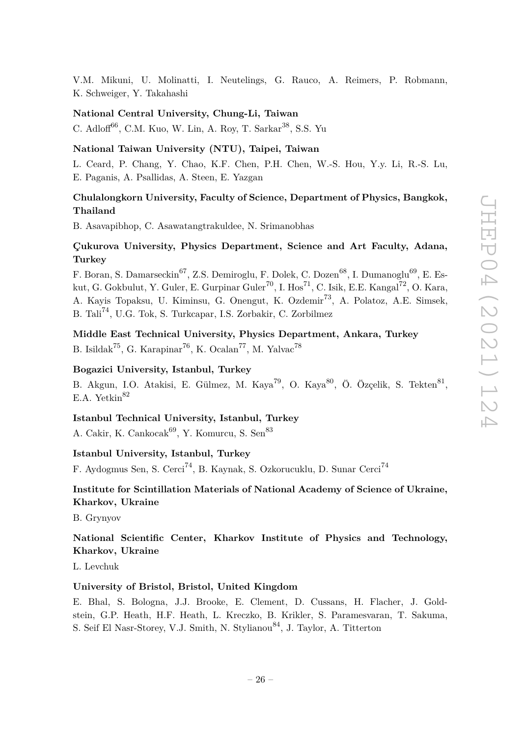V.M. Mikuni, U. Molinatti, I. Neutelings, G. Rauco, A. Reimers, P. Robmann, K. Schweiger, Y. Takahashi

### **National Central University, Chung-Li, Taiwan**

C. Adloff $^{66}$ , C.M. Kuo, W. Lin, A. Roy, T. Sarkar $^{38}$ , S.S. Yu

### **National Taiwan University (NTU), Taipei, Taiwan**

L. Ceard, P. Chang, Y. Chao, K.F. Chen, P.H. Chen, W.-S. Hou, Y.y. Li, R.-S. Lu, E. Paganis, A. Psallidas, A. Steen, E. Yazgan

# **Chulalongkorn University, Faculty of Science, Department of Physics, Bangkok, Thailand**

B. Asavapibhop, C. Asawatangtrakuldee, N. Srimanobhas

# **Çukurova University, Physics Department, Science and Art Faculty, Adana, Turkey**

F. Boran, S. Damarseckin<sup>67</sup>, Z.S. Demiroglu, F. Dolek, C. Dozen<sup>68</sup>, I. Dumanoglu<sup>69</sup>, E. Eskut, G. Gokbulut, Y. Guler, E. Gurpinar Guler<sup>70</sup>, I.  $H_{.}^{71}$ , C. Isik, E.E. Kangal<sup>72</sup>, O. Kara, A. Kayis Topaksu, U. Kiminsu, G. Onengut, K. Ozdemir<sup>73</sup>, A. Polatoz, A.E. Simsek, B. Tali74, U.G. Tok, S. Turkcapar, I.S. Zorbakir, C. Zorbilmez

# **Middle East Technical University, Physics Department, Ankara, Turkey**

B. Isildak<sup>75</sup>, G. Karapinar<sup>76</sup>, K. Ocalan<sup>77</sup>, M. Yalvac<sup>78</sup>

# **Bogazici University, Istanbul, Turkey**

B. Akgun, I.O. Atakisi, E. Gülmez, M. Kaya<sup>79</sup>, O. Kaya<sup>80</sup>, Ö. Özçelik, S. Tekten<sup>81</sup>, E.A. Yetkin<sup>82</sup>

### **Istanbul Technical University, Istanbul, Turkey**

A. Cakir, K. Cankocak<sup>69</sup>, Y. Komurcu, S. Sen<sup>83</sup>

# **Istanbul University, Istanbul, Turkey**

F. Aydogmus Sen, S. Cerci<sup>74</sup>, B. Kaynak, S. Ozkorucuklu, D. Sunar Cerci<sup>74</sup>

# **Institute for Scintillation Materials of National Academy of Science of Ukraine, Kharkov, Ukraine**

B. Grynyov

# **National Scientific Center, Kharkov Institute of Physics and Technology, Kharkov, Ukraine**

L. Levchuk

### **University of Bristol, Bristol, United Kingdom**

E. Bhal, S. Bologna, J.J. Brooke, E. Clement, D. Cussans, H. Flacher, J. Goldstein, G.P. Heath, H.F. Heath, L. Kreczko, B. Krikler, S. Paramesvaran, T. Sakuma, S. Seif El Nasr-Storey, V.J. Smith, N. Stylianou<sup>84</sup>, J. Taylor, A. Titterton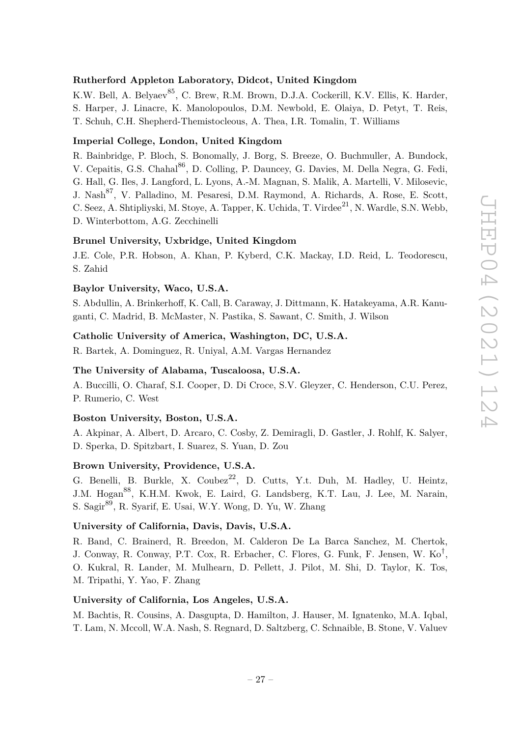### **Rutherford Appleton Laboratory, Didcot, United Kingdom**

K.W. Bell, A. Belyaev<sup>85</sup>, C. Brew, R.M. Brown, D.J.A. Cockerill, K.V. Ellis, K. Harder, S. Harper, J. Linacre, K. Manolopoulos, D.M. Newbold, E. Olaiya, D. Petyt, T. Reis, T. Schuh, C.H. Shepherd-Themistocleous, A. Thea, I.R. Tomalin, T. Williams

### **Imperial College, London, United Kingdom**

R. Bainbridge, P. Bloch, S. Bonomally, J. Borg, S. Breeze, O. Buchmuller, A. Bundock, V. Cepaitis, G.S. Chahal<sup>86</sup>, D. Colling, P. Dauncey, G. Davies, M. Della Negra, G. Fedi, G. Hall, G. Iles, J. Langford, L. Lyons, A.-M. Magnan, S. Malik, A. Martelli, V. Milosevic, J. Nash<sup>87</sup>, V. Palladino, M. Pesaresi, D.M. Raymond, A. Richards, A. Rose, E. Scott, C. Seez, A. Shtipliyski, M. Stoye, A. Tapper, K. Uchida, T. Virdee<sup>21</sup>, N. Wardle, S.N. Webb, D. Winterbottom, A.G. Zecchinelli

### **Brunel University, Uxbridge, United Kingdom**

J.E. Cole, P.R. Hobson, A. Khan, P. Kyberd, C.K. Mackay, I.D. Reid, L. Teodorescu, S. Zahid

### **Baylor University, Waco, U.S.A.**

S. Abdullin, A. Brinkerhoff, K. Call, B. Caraway, J. Dittmann, K. Hatakeyama, A.R. Kanuganti, C. Madrid, B. McMaster, N. Pastika, S. Sawant, C. Smith, J. Wilson

#### **Catholic University of America, Washington, DC, U.S.A.**

R. Bartek, A. Dominguez, R. Uniyal, A.M. Vargas Hernandez

#### **The University of Alabama, Tuscaloosa, U.S.A.**

A. Buccilli, O. Charaf, S.I. Cooper, D. Di Croce, S.V. Gleyzer, C. Henderson, C.U. Perez, P. Rumerio, C. West

### **Boston University, Boston, U.S.A.**

A. Akpinar, A. Albert, D. Arcaro, C. Cosby, Z. Demiragli, D. Gastler, J. Rohlf, K. Salyer, D. Sperka, D. Spitzbart, I. Suarez, S. Yuan, D. Zou

# **Brown University, Providence, U.S.A.**

G. Benelli, B. Burkle, X. Coubez<sup>22</sup>, D. Cutts, Y.t. Duh, M. Hadley, U. Heintz, J.M. Hogan<sup>88</sup>, K.H.M. Kwok, E. Laird, G. Landsberg, K.T. Lau, J. Lee, M. Narain, S. Sagir<sup>89</sup>, R. Syarif, E. Usai, W.Y. Wong, D. Yu, W. Zhang

### **University of California, Davis, Davis, U.S.A.**

R. Band, C. Brainerd, R. Breedon, M. Calderon De La Barca Sanchez, M. Chertok, J. Conway, R. Conway, P.T. Cox, R. Erbacher, C. Flores, G. Funk, F. Jensen, W. Ko† , O. Kukral, R. Lander, M. Mulhearn, D. Pellett, J. Pilot, M. Shi, D. Taylor, K. Tos, M. Tripathi, Y. Yao, F. Zhang

### **University of California, Los Angeles, U.S.A.**

M. Bachtis, R. Cousins, A. Dasgupta, D. Hamilton, J. Hauser, M. Ignatenko, M.A. Iqbal, T. Lam, N. Mccoll, W.A. Nash, S. Regnard, D. Saltzberg, C. Schnaible, B. Stone, V. Valuev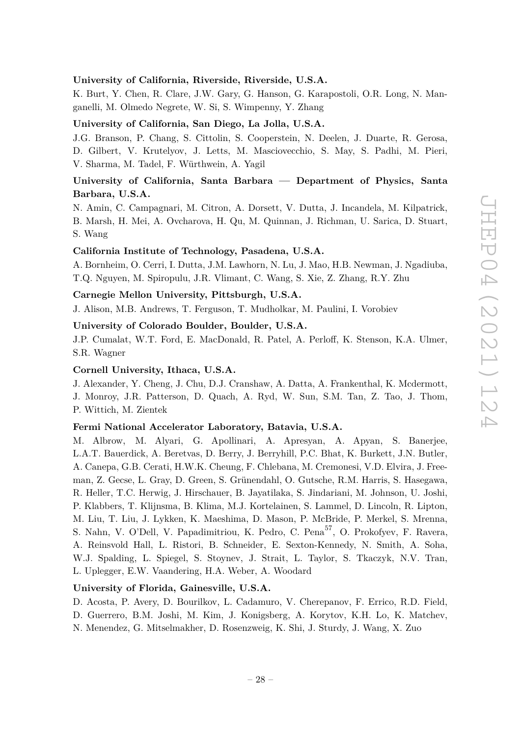### **University of California, Riverside, Riverside, U.S.A.**

K. Burt, Y. Chen, R. Clare, J.W. Gary, G. Hanson, G. Karapostoli, O.R. Long, N. Manganelli, M. Olmedo Negrete, W. Si, S. Wimpenny, Y. Zhang

#### **University of California, San Diego, La Jolla, U.S.A.**

J.G. Branson, P. Chang, S. Cittolin, S. Cooperstein, N. Deelen, J. Duarte, R. Gerosa, D. Gilbert, V. Krutelyov, J. Letts, M. Masciovecchio, S. May, S. Padhi, M. Pieri, V. Sharma, M. Tadel, F. Würthwein, A. Yagil

# **University of California, Santa Barbara — Department of Physics, Santa Barbara, U.S.A.**

N. Amin, C. Campagnari, M. Citron, A. Dorsett, V. Dutta, J. Incandela, M. Kilpatrick, B. Marsh, H. Mei, A. Ovcharova, H. Qu, M. Quinnan, J. Richman, U. Sarica, D. Stuart, S. Wang

### **California Institute of Technology, Pasadena, U.S.A.**

A. Bornheim, O. Cerri, I. Dutta, J.M. Lawhorn, N. Lu, J. Mao, H.B. Newman, J. Ngadiuba, T.Q. Nguyen, M. Spiropulu, J.R. Vlimant, C. Wang, S. Xie, Z. Zhang, R.Y. Zhu

### **Carnegie Mellon University, Pittsburgh, U.S.A.**

J. Alison, M.B. Andrews, T. Ferguson, T. Mudholkar, M. Paulini, I. Vorobiev

### **University of Colorado Boulder, Boulder, U.S.A.**

J.P. Cumalat, W.T. Ford, E. MacDonald, R. Patel, A. Perloff, K. Stenson, K.A. Ulmer, S.R. Wagner

#### **Cornell University, Ithaca, U.S.A.**

J. Alexander, Y. Cheng, J. Chu, D.J. Cranshaw, A. Datta, A. Frankenthal, K. Mcdermott, J. Monroy, J.R. Patterson, D. Quach, A. Ryd, W. Sun, S.M. Tan, Z. Tao, J. Thom, P. Wittich, M. Zientek

#### **Fermi National Accelerator Laboratory, Batavia, U.S.A.**

M. Albrow, M. Alyari, G. Apollinari, A. Apresyan, A. Apyan, S. Banerjee, L.A.T. Bauerdick, A. Beretvas, D. Berry, J. Berryhill, P.C. Bhat, K. Burkett, J.N. Butler, A. Canepa, G.B. Cerati, H.W.K. Cheung, F. Chlebana, M. Cremonesi, V.D. Elvira, J. Freeman, Z. Gecse, L. Gray, D. Green, S. Grünendahl, O. Gutsche, R.M. Harris, S. Hasegawa, R. Heller, T.C. Herwig, J. Hirschauer, B. Jayatilaka, S. Jindariani, M. Johnson, U. Joshi, P. Klabbers, T. Klijnsma, B. Klima, M.J. Kortelainen, S. Lammel, D. Lincoln, R. Lipton, M. Liu, T. Liu, J. Lykken, K. Maeshima, D. Mason, P. McBride, P. Merkel, S. Mrenna, S. Nahn, V. O'Dell, V. Papadimitriou, K. Pedro, C. Pena<sup>57</sup>, O. Prokofyev, F. Ravera, A. Reinsvold Hall, L. Ristori, B. Schneider, E. Sexton-Kennedy, N. Smith, A. Soha, W.J. Spalding, L. Spiegel, S. Stoynev, J. Strait, L. Taylor, S. Tkaczyk, N.V. Tran, L. Uplegger, E.W. Vaandering, H.A. Weber, A. Woodard

### **University of Florida, Gainesville, U.S.A.**

D. Acosta, P. Avery, D. Bourilkov, L. Cadamuro, V. Cherepanov, F. Errico, R.D. Field, D. Guerrero, B.M. Joshi, M. Kim, J. Konigsberg, A. Korytov, K.H. Lo, K. Matchev, N. Menendez, G. Mitselmakher, D. Rosenzweig, K. Shi, J. Sturdy, J. Wang, X. Zuo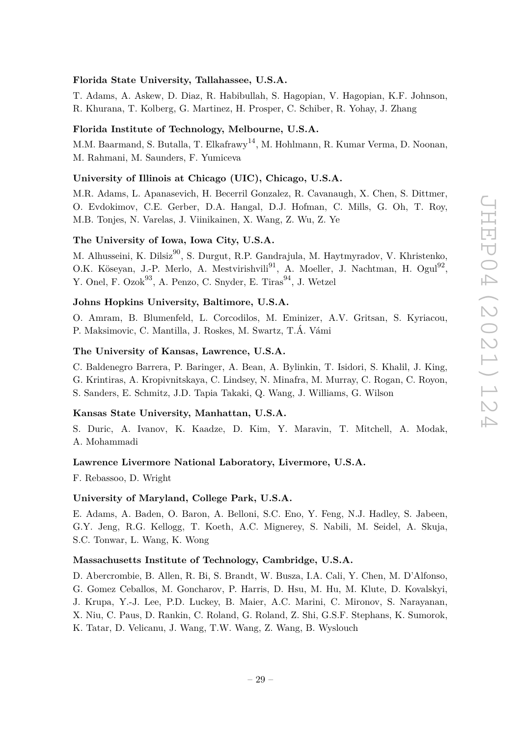### **Florida State University, Tallahassee, U.S.A.**

T. Adams, A. Askew, D. Diaz, R. Habibullah, S. Hagopian, V. Hagopian, K.F. Johnson, R. Khurana, T. Kolberg, G. Martinez, H. Prosper, C. Schiber, R. Yohay, J. Zhang

### **Florida Institute of Technology, Melbourne, U.S.A.**

M.M. Baarmand, S. Butalla, T. Elkafrawy<sup>14</sup>, M. Hohlmann, R. Kumar Verma, D. Noonan, M. Rahmani, M. Saunders, F. Yumiceva

### **University of Illinois at Chicago (UIC), Chicago, U.S.A.**

M.R. Adams, L. Apanasevich, H. Becerril Gonzalez, R. Cavanaugh, X. Chen, S. Dittmer, O. Evdokimov, C.E. Gerber, D.A. Hangal, D.J. Hofman, C. Mills, G. Oh, T. Roy, M.B. Tonjes, N. Varelas, J. Viinikainen, X. Wang, Z. Wu, Z. Ye

### **The University of Iowa, Iowa City, U.S.A.**

M. Alhusseini, K. Dilsiz<sup>90</sup>, S. Durgut, R.P. Gandrajula, M. Haytmyradov, V. Khristenko, O.K. Köseyan, J.-P. Merlo, A. Mestvirishvili<sup>91</sup>, A. Moeller, J. Nachtman, H. Ogul<sup>92</sup>, Y. Onel, F. Ozok<sup>93</sup>, A. Penzo, C. Snyder, E. Tiras<sup>94</sup>, J. Wetzel

#### **Johns Hopkins University, Baltimore, U.S.A.**

O. Amram, B. Blumenfeld, L. Corcodilos, M. Eminizer, A.V. Gritsan, S. Kyriacou, P. Maksimovic, C. Mantilla, J. Roskes, M. Swartz, T.Á. Vámi

### **The University of Kansas, Lawrence, U.S.A.**

C. Baldenegro Barrera, P. Baringer, A. Bean, A. Bylinkin, T. Isidori, S. Khalil, J. King, G. Krintiras, A. Kropivnitskaya, C. Lindsey, N. Minafra, M. Murray, C. Rogan, C. Royon, S. Sanders, E. Schmitz, J.D. Tapia Takaki, Q. Wang, J. Williams, G. Wilson

#### **Kansas State University, Manhattan, U.S.A.**

S. Duric, A. Ivanov, K. Kaadze, D. Kim, Y. Maravin, T. Mitchell, A. Modak, A. Mohammadi

#### **Lawrence Livermore National Laboratory, Livermore, U.S.A.**

F. Rebassoo, D. Wright

#### **University of Maryland, College Park, U.S.A.**

E. Adams, A. Baden, O. Baron, A. Belloni, S.C. Eno, Y. Feng, N.J. Hadley, S. Jabeen, G.Y. Jeng, R.G. Kellogg, T. Koeth, A.C. Mignerey, S. Nabili, M. Seidel, A. Skuja, S.C. Tonwar, L. Wang, K. Wong

### **Massachusetts Institute of Technology, Cambridge, U.S.A.**

D. Abercrombie, B. Allen, R. Bi, S. Brandt, W. Busza, I.A. Cali, Y. Chen, M. D'Alfonso, G. Gomez Ceballos, M. Goncharov, P. Harris, D. Hsu, M. Hu, M. Klute, D. Kovalskyi, J. Krupa, Y.-J. Lee, P.D. Luckey, B. Maier, A.C. Marini, C. Mironov, S. Narayanan, X. Niu, C. Paus, D. Rankin, C. Roland, G. Roland, Z. Shi, G.S.F. Stephans, K. Sumorok, K. Tatar, D. Velicanu, J. Wang, T.W. Wang, Z. Wang, B. Wyslouch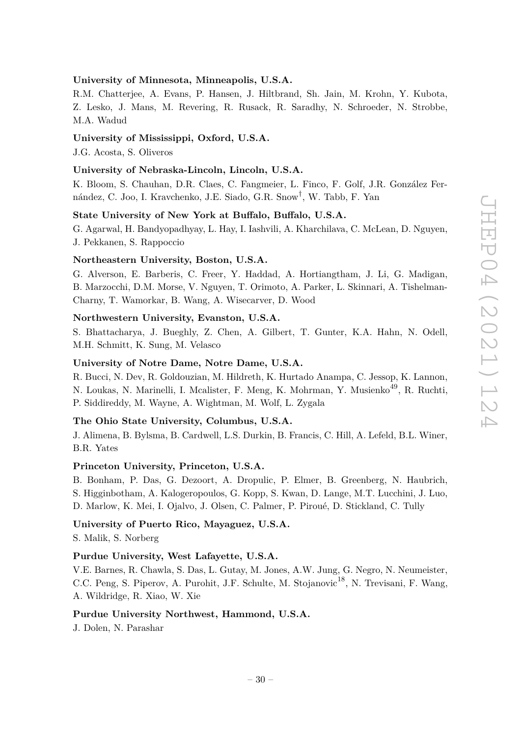### **University of Minnesota, Minneapolis, U.S.A.**

R.M. Chatterjee, A. Evans, P. Hansen, J. Hiltbrand, Sh. Jain, M. Krohn, Y. Kubota, Z. Lesko, J. Mans, M. Revering, R. Rusack, R. Saradhy, N. Schroeder, N. Strobbe, M.A. Wadud

### **University of Mississippi, Oxford, U.S.A.**

J.G. Acosta, S. Oliveros

### **University of Nebraska-Lincoln, Lincoln, U.S.A.**

K. Bloom, S. Chauhan, D.R. Claes, C. Fangmeier, L. Finco, F. Golf, J.R. González Fernández, C. Joo, I. Kravchenko, J.E. Siado, G.R. Snow† , W. Tabb, F. Yan

### **State University of New York at Buffalo, Buffalo, U.S.A.**

G. Agarwal, H. Bandyopadhyay, L. Hay, I. Iashvili, A. Kharchilava, C. McLean, D. Nguyen, J. Pekkanen, S. Rappoccio

#### **Northeastern University, Boston, U.S.A.**

G. Alverson, E. Barberis, C. Freer, Y. Haddad, A. Hortiangtham, J. Li, G. Madigan, B. Marzocchi, D.M. Morse, V. Nguyen, T. Orimoto, A. Parker, L. Skinnari, A. Tishelman-Charny, T. Wamorkar, B. Wang, A. Wisecarver, D. Wood

#### **Northwestern University, Evanston, U.S.A.**

S. Bhattacharya, J. Bueghly, Z. Chen, A. Gilbert, T. Gunter, K.A. Hahn, N. Odell, M.H. Schmitt, K. Sung, M. Velasco

#### **University of Notre Dame, Notre Dame, U.S.A.**

R. Bucci, N. Dev, R. Goldouzian, M. Hildreth, K. Hurtado Anampa, C. Jessop, K. Lannon, N. Loukas, N. Marinelli, I. Mcalister, F. Meng, K. Mohrman, Y. Musienko<sup>49</sup>, R. Ruchti. P. Siddireddy, M. Wayne, A. Wightman, M. Wolf, L. Zygala

#### **The Ohio State University, Columbus, U.S.A.**

J. Alimena, B. Bylsma, B. Cardwell, L.S. Durkin, B. Francis, C. Hill, A. Lefeld, B.L. Winer, B.R. Yates

#### **Princeton University, Princeton, U.S.A.**

B. Bonham, P. Das, G. Dezoort, A. Dropulic, P. Elmer, B. Greenberg, N. Haubrich, S. Higginbotham, A. Kalogeropoulos, G. Kopp, S. Kwan, D. Lange, M.T. Lucchini, J. Luo, D. Marlow, K. Mei, I. Ojalvo, J. Olsen, C. Palmer, P. Piroué, D. Stickland, C. Tully

### **University of Puerto Rico, Mayaguez, U.S.A.**

S. Malik, S. Norberg

### **Purdue University, West Lafayette, U.S.A.**

V.E. Barnes, R. Chawla, S. Das, L. Gutay, M. Jones, A.W. Jung, G. Negro, N. Neumeister, C.C. Peng, S. Piperov, A. Purohit, J.F. Schulte, M. Stojanovic<sup>18</sup>, N. Trevisani, F. Wang, A. Wildridge, R. Xiao, W. Xie

### **Purdue University Northwest, Hammond, U.S.A.**

J. Dolen, N. Parashar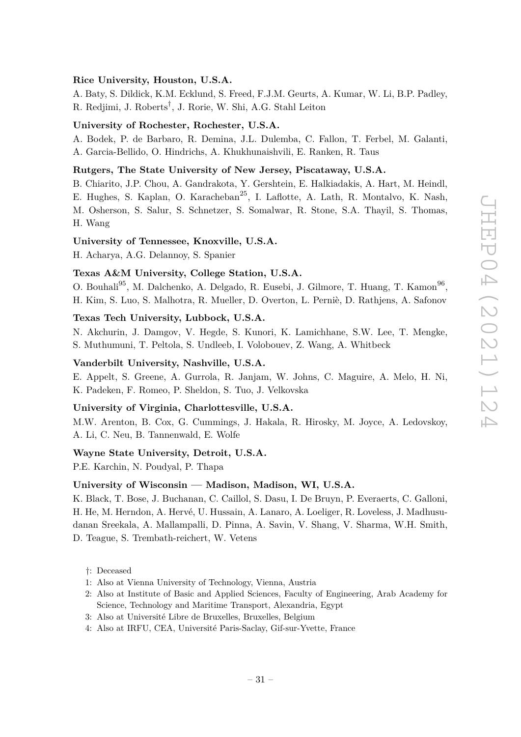### **Rice University, Houston, U.S.A.**

A. Baty, S. Dildick, K.M. Ecklund, S. Freed, F.J.M. Geurts, A. Kumar, W. Li, B.P. Padley, R. Redjimi, J. Roberts† , J. Rorie, W. Shi, A.G. Stahl Leiton

#### **University of Rochester, Rochester, U.S.A.**

A. Bodek, P. de Barbaro, R. Demina, J.L. Dulemba, C. Fallon, T. Ferbel, M. Galanti, A. Garcia-Bellido, O. Hindrichs, A. Khukhunaishvili, E. Ranken, R. Taus

### **Rutgers, The State University of New Jersey, Piscataway, U.S.A.**

B. Chiarito, J.P. Chou, A. Gandrakota, Y. Gershtein, E. Halkiadakis, A. Hart, M. Heindl, E. Hughes, S. Kaplan, O. Karacheban<sup>25</sup>, I. Laflotte, A. Lath, R. Montalvo, K. Nash, M. Osherson, S. Salur, S. Schnetzer, S. Somalwar, R. Stone, S.A. Thayil, S. Thomas, H. Wang

#### **University of Tennessee, Knoxville, U.S.A.**

H. Acharya, A.G. Delannoy, S. Spanier

# **Texas A&M University, College Station, U.S.A.**

O. Bouhali<sup>95</sup>, M. Dalchenko, A. Delgado, R. Eusebi, J. Gilmore, T. Huang, T. Kamon<sup>96</sup>, H. Kim, S. Luo, S. Malhotra, R. Mueller, D. Overton, L. Perniè, D. Rathjens, A. Safonov

#### **Texas Tech University, Lubbock, U.S.A.**

N. Akchurin, J. Damgov, V. Hegde, S. Kunori, K. Lamichhane, S.W. Lee, T. Mengke, S. Muthumuni, T. Peltola, S. Undleeb, I. Volobouev, Z. Wang, A. Whitbeck

#### **Vanderbilt University, Nashville, U.S.A.**

E. Appelt, S. Greene, A. Gurrola, R. Janjam, W. Johns, C. Maguire, A. Melo, H. Ni, K. Padeken, F. Romeo, P. Sheldon, S. Tuo, J. Velkovska

### **University of Virginia, Charlottesville, U.S.A.**

M.W. Arenton, B. Cox, G. Cummings, J. Hakala, R. Hirosky, M. Joyce, A. Ledovskoy, A. Li, C. Neu, B. Tannenwald, E. Wolfe

#### **Wayne State University, Detroit, U.S.A.**

P.E. Karchin, N. Poudyal, P. Thapa

# **University of Wisconsin — Madison, Madison, WI, U.S.A.**

K. Black, T. Bose, J. Buchanan, C. Caillol, S. Dasu, I. De Bruyn, P. Everaerts, C. Galloni, H. He, M. Herndon, A. Hervé, U. Hussain, A. Lanaro, A. Loeliger, R. Loveless, J. Madhusudanan Sreekala, A. Mallampalli, D. Pinna, A. Savin, V. Shang, V. Sharma, W.H. Smith, D. Teague, S. Trembath-reichert, W. Vetens

- †: Deceased
- 1: Also at Vienna University of Technology, Vienna, Austria
- 2: Also at Institute of Basic and Applied Sciences, Faculty of Engineering, Arab Academy for Science, Technology and Maritime Transport, Alexandria, Egypt
- 3: Also at Université Libre de Bruxelles, Bruxelles, Belgium
- 4: Also at IRFU, CEA, Université Paris-Saclay, Gif-sur-Yvette, France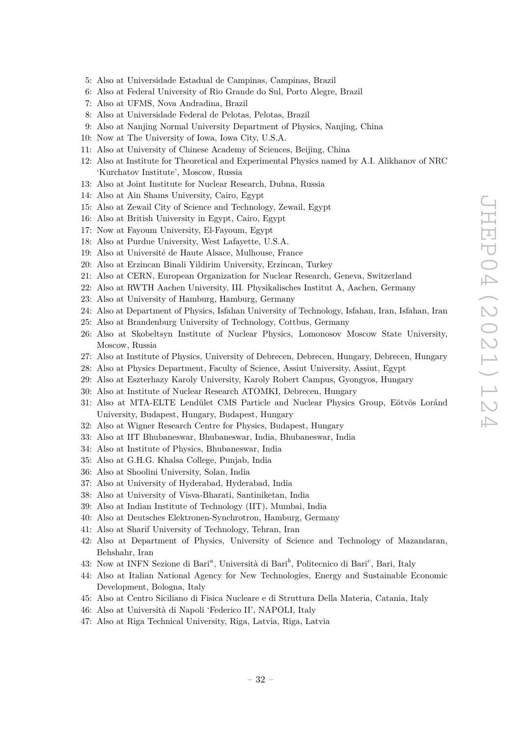- 5: Also at Universidade Estadual de Campinas, Campinas, Brazil
- 6: Also at Federal University of Rio Grande do Sul, Porto Alegre, Brazil
- 7: Also at UFMS, Nova Andradina, Brazil
- 8: Also at Universidade Federal de Pelotas, Pelotas, Brazil
- 9: Also at Nanjing Normal University Department of Physics, Nanjing, China
- 10: Now at The University of Iowa, Iowa City, U.S.A.
- 11: Also at University of Chinese Academy of Sciences, Beijing, China
- 12: Also at Institute for Theoretical and Experimental Physics named by A.I. Alikhanov of NRC 'Kurchatov Institute', Moscow, Russia
- 13: Also at Joint Institute for Nuclear Research, Dubna, Russia
- 14: Also at Ain Shams University, Cairo, Egypt
- 15: Also at Zewail City of Science and Technology, Zewail, Egypt
- 16: Also at British University in Egypt, Cairo, Egypt
- 17: Now at Fayoum University, El-Fayoum, Egypt
- 18: Also at Purdue University, West Lafayette, U.S.A.
- 19: Also at Université de Haute Alsace, Mulhouse, France
- 20: Also at Erzincan Binali Yildirim University, Erzincan, Turkey
- 21: Also at CERN, European Organization for Nuclear Research, Geneva, Switzerland
- 22: Also at RWTH Aachen University, III. Physikalisches Institut A, Aachen, Germany
- 23: Also at University of Hamburg, Hamburg, Germany
- 24: Also at Department of Physics, Isfahan University of Technology, Isfahan, Iran, Isfahan, Iran
- 25: Also at Brandenburg University of Technology, Cottbus, Germany
- 26: Also at Skobeltsyn Institute of Nuclear Physics, Lomonosov Moscow State University, Moscow, Russia
- 27: Also at Institute of Physics, University of Debrecen, Debrecen, Hungary, Debrecen, Hungary
- 28: Also at Physics Department, Faculty of Science, Assiut University, Assiut, Egypt
- 29: Also at Eszterhazy Karoly University, Karoly Robert Campus, Gyongyos, Hungary
- 30: Also at Institute of Nuclear Research ATOMKI, Debrecen, Hungary
- 31: Also at MTA-ELTE Lendület CMS Particle and Nuclear Physics Group, Eötvös Loránd University, Budapest, Hungary, Budapest, Hungary
- 32: Also at Wigner Research Centre for Physics, Budapest, Hungary
- 33: Also at IIT Bhubaneswar, Bhubaneswar, India, Bhubaneswar, India
- 34: Also at Institute of Physics, Bhubaneswar, India
- 35: Also at G.H.G. Khalsa College, Punjab, India
- 36: Also at Shoolini University, Solan, India
- 37: Also at University of Hyderabad, Hyderabad, India
- 38: Also at University of Visva-Bharati, Santiniketan, India
- 39: Also at Indian Institute of Technology (IIT), Mumbai, India
- 40: Also at Deutsches Elektronen-Synchrotron, Hamburg, Germany
- 41: Also at Sharif University of Technology, Tehran, Iran
- 42: Also at Department of Physics, University of Science and Technology of Mazandaran, Behshahr, Iran
- 43: Now at INFN Sezione di Bari*<sup>a</sup>* , Università di Bari*<sup>b</sup>* , Politecnico di Bari*<sup>c</sup>* , Bari, Italy
- 44: Also at Italian National Agency for New Technologies, Energy and Sustainable Economic Development, Bologna, Italy
- 45: Also at Centro Siciliano di Fisica Nucleare e di Struttura Della Materia, Catania, Italy
- 46: Also at Università di Napoli 'Federico II', NAPOLI, Italy
- 47: Also at Riga Technical University, Riga, Latvia, Riga, Latvia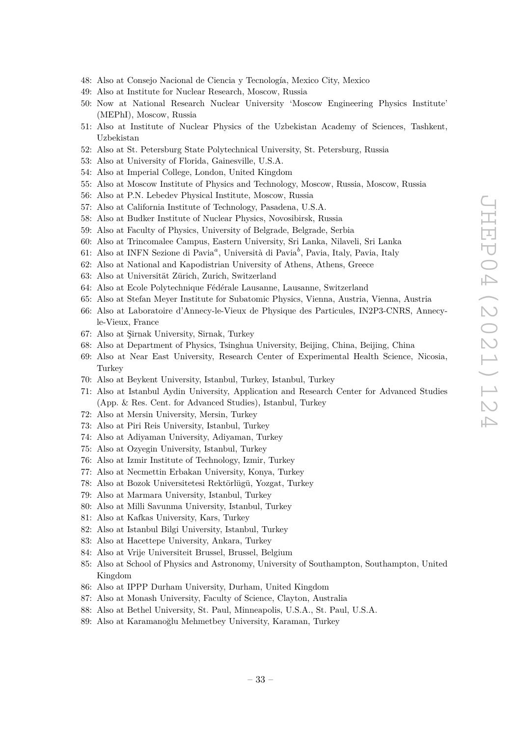- 48: Also at Consejo Nacional de Ciencia y Tecnología, Mexico City, Mexico
- 49: Also at Institute for Nuclear Research, Moscow, Russia
- 50: Now at National Research Nuclear University 'Moscow Engineering Physics Institute' (MEPhI), Moscow, Russia
- 51: Also at Institute of Nuclear Physics of the Uzbekistan Academy of Sciences, Tashkent, Uzbekistan
- 52: Also at St. Petersburg State Polytechnical University, St. Petersburg, Russia
- 53: Also at University of Florida, Gainesville, U.S.A.
- 54: Also at Imperial College, London, United Kingdom
- 55: Also at Moscow Institute of Physics and Technology, Moscow, Russia, Moscow, Russia
- 56: Also at P.N. Lebedev Physical Institute, Moscow, Russia
- 57: Also at California Institute of Technology, Pasadena, U.S.A.
- 58: Also at Budker Institute of Nuclear Physics, Novosibirsk, Russia
- 59: Also at Faculty of Physics, University of Belgrade, Belgrade, Serbia
- 60: Also at Trincomalee Campus, Eastern University, Sri Lanka, Nilaveli, Sri Lanka
- 61: Also at INFN Sezione di Pavia*<sup>a</sup>* , Università di Pavia*<sup>b</sup>* , Pavia, Italy, Pavia, Italy
- 62: Also at National and Kapodistrian University of Athens, Athens, Greece
- 63: Also at Universität Zürich, Zurich, Switzerland
- 64: Also at Ecole Polytechnique Fédérale Lausanne, Lausanne, Switzerland
- 65: Also at Stefan Meyer Institute for Subatomic Physics, Vienna, Austria, Vienna, Austria
- 66: Also at Laboratoire d'Annecy-le-Vieux de Physique des Particules, IN2P3-CNRS, Annecyle-Vieux, France
- 67: Also at Şirnak University, Sirnak, Turkey
- 68: Also at Department of Physics, Tsinghua University, Beijing, China, Beijing, China
- 69: Also at Near East University, Research Center of Experimental Health Science, Nicosia, Turkey
- 70: Also at Beykent University, Istanbul, Turkey, Istanbul, Turkey
- 71: Also at Istanbul Aydin University, Application and Research Center for Advanced Studies (App. & Res. Cent. for Advanced Studies), Istanbul, Turkey
- 72: Also at Mersin University, Mersin, Turkey
- 73: Also at Piri Reis University, Istanbul, Turkey
- 74: Also at Adiyaman University, Adiyaman, Turkey
- 75: Also at Ozyegin University, Istanbul, Turkey
- 76: Also at Izmir Institute of Technology, Izmir, Turkey
- 77: Also at Necmettin Erbakan University, Konya, Turkey
- 78: Also at Bozok Universitetesi Rektörlügü, Yozgat, Turkey
- 79: Also at Marmara University, Istanbul, Turkey
- 80: Also at Milli Savunma University, Istanbul, Turkey
- 81: Also at Kafkas University, Kars, Turkey
- 82: Also at Istanbul Bilgi University, Istanbul, Turkey
- 83: Also at Hacettepe University, Ankara, Turkey
- 84: Also at Vrije Universiteit Brussel, Brussel, Belgium
- 85: Also at School of Physics and Astronomy, University of Southampton, Southampton, United Kingdom
- 86: Also at IPPP Durham University, Durham, United Kingdom
- 87: Also at Monash University, Faculty of Science, Clayton, Australia
- 88: Also at Bethel University, St. Paul, Minneapolis, U.S.A., St. Paul, U.S.A.
- 89: Also at Karamanoğlu Mehmetbey University, Karaman, Turkey